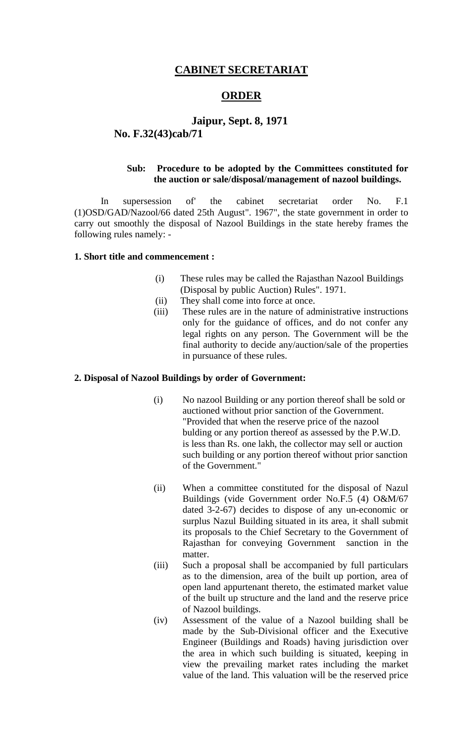### **CABINET SECRETARIAT**

### **ORDER**

### **Jaipur, Sept. 8, 1971 No. F.32(43)cab/71**

### **Sub: Procedure to be adopted by the Committees constituted for the auction or sale/disposal/management of nazool buildings.**

In supersession of' the cabinet secretariat order No. F.1 (1)OSD/GAD/Nazool/66 dated 25th August". 1967", the state government in order to carry out smoothly the disposal of Nazool Buildings in the state hereby frames the following rules namely: -

#### **1. Short title and commencement :**

- (i) These rules may be called the Rajasthan Nazool Buildings (Disposal by public Auction) Rules". 1971.
- (ii) They shall come into force at once.
- (iii) These rules are in the nature of administrative instructions only for the guidance of offices, and do not confer any legal rights on any person. The Government will be the final authority to decide any/auction/sale of the properties in pursuance of these rules.

#### **2. Disposal of Nazool Buildings by order of Government:**

- (i) No nazool Building or any portion thereof shall be sold or auctioned without prior sanction of the Government. "Provided that when the reserve price of the nazool bulding or any portion thereof as assessed by the P.W.D. is less than Rs. one lakh, the collector may sell or auction such building or any portion thereof without prior sanction of the Government."
- (ii) When a committee constituted for the disposal of Nazul Buildings (vide Government order No.F.5 (4) O&M/67 dated 3-2-67) decides to dispose of any un-economic or surplus Nazul Building situated in its area, it shall submit its proposals to the Chief Secretary to the Government of Rajasthan for conveying Government sanction in the matter.
- (iii) Such a proposal shall be accompanied by full particulars as to the dimension, area of the built up portion, area of open land appurtenant thereto, the estimated market value of the built up structure and the land and the reserve price of Nazool buildings.
- (iv) Assessment of the value of a Nazool building shall be made by the Sub-Divisional officer and the Executive Engineer (Buildings and Roads) having jurisdiction over the area in which such building is situated, keeping in view the prevailing market rates including the market value of the land. This valuation will be the reserved price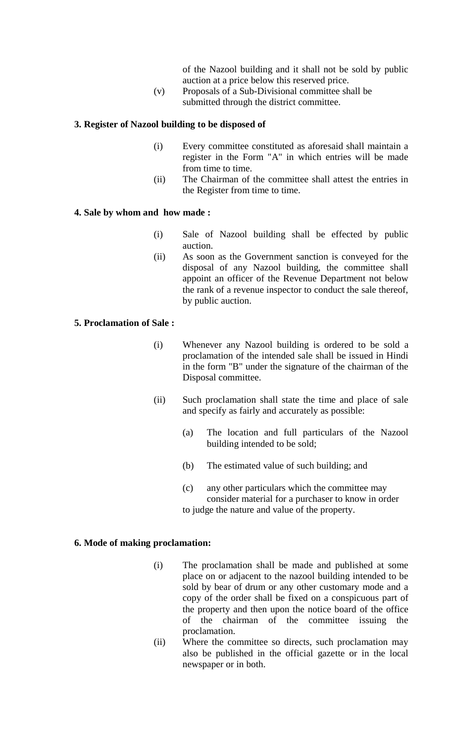of the Nazool building and it shall not be sold by public auction at a price below this reserved price.

(v) Proposals of a Sub-Divisional committee shall be submitted through the district committee.

#### **3. Register of Nazool building to be disposed of**

- (i) Every committee constituted as aforesaid shall maintain a register in the Form "A" in which entries will be made from time to time.
- (ii) The Chairman of the committee shall attest the entries in the Register from time to time.

#### **4. Sale by whom and how made :**

- (i) Sale of Nazool building shall be effected by public auction.
- (ii) As soon as the Government sanction is conveyed for the disposal of any Nazool building, the committee shall appoint an officer of the Revenue Department not below the rank of a revenue inspector to conduct the sale thereof, by public auction.

### **5. Proclamation of Sale :**

- (i) Whenever any Nazool building is ordered to be sold a proclamation of the intended sale shall be issued in Hindi in the form "B" under the signature of the chairman of the Disposal committee.
- (ii) Such proclamation shall state the time and place of sale and specify as fairly and accurately as possible:
	- (a) The location and full particulars of the Nazool building intended to be sold;
	- (b) The estimated value of such building; and
	- (c) any other particulars which the committee may consider material for a purchaser to know in order to judge the nature and value of the property.

### **6. Mode of making proclamation:**

- (i) The proclamation shall be made and published at some place on or adjacent to the nazool building intended to be sold by bear of drum or any other customary mode and a copy of the order shall be fixed on a conspicuous part of the property and then upon the notice board of the office of the chairman of the committee issuing the proclamation.
- (ii) Where the committee so directs, such proclamation may also be published in the official gazette or in the local newspaper or in both.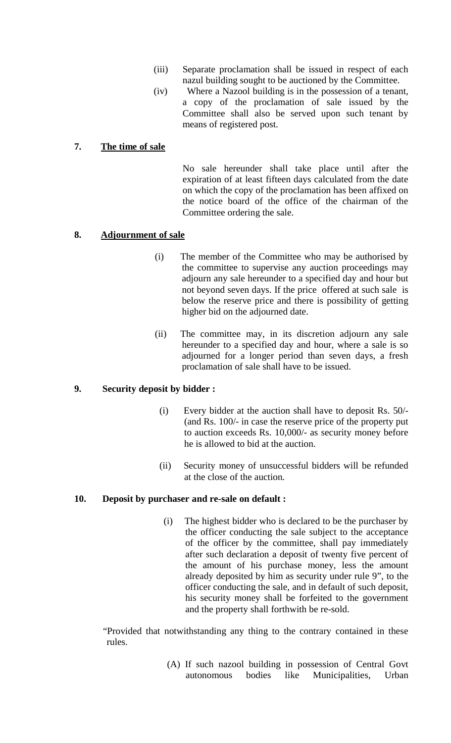- (iii) Separate proclamation shall be issued in respect of each nazul building sought to be auctioned by the Committee.
- (iv) Where a Nazool building is in the possession of a tenant, a copy of the proclamation of sale issued by the Committee shall also be served upon such tenant by means of registered post.

#### **7. The time of sale**

No sale hereunder shall take place until after the expiration of at least fifteen days calculated from the date on which the copy of the proclamation has been affixed on the notice board of the office of the chairman of the Committee ordering the sale.

#### **8. Adjournment of sale**

- (i) The member of the Committee who may be authorised by the committee to supervise any auction proceedings may adjourn any sale hereunder to a specified day and hour but not beyond seven days. If the price offered at such sale is below the reserve price and there is possibility of getting higher bid on the adjourned date.
- (ii) The committee may, in its discretion adjourn any sale hereunder to a specified day and hour, where a sale is so adjourned for a longer period than seven days, a fresh proclamation of sale shall have to be issued.

#### **9. Security deposit by bidder :**

- (i) Every bidder at the auction shall have to deposit Rs. 50/- (and Rs. 100/- in case the reserve price of the property put to auction exceeds Rs. 10,000/- as security money before he is allowed to bid at the auction.
- (ii) Security money of unsuccessful bidders will be refunded at the close of the auction.

#### **10. Deposit by purchaser and re-sale on default :**

(i) The highest bidder who is declared to be the purchaser by the officer conducting the sale subject to the acceptance of the officer by the committee, shall pay immediately after such declaration a deposit of twenty five percent of the amount of his purchase money, less the amount already deposited by him as security under rule 9", to the officer conducting the sale, and in default of such deposit, his security money shall be forfeited to the government and the property shall forthwith be re-sold.

"Provided that notwithstanding any thing to the contrary contained in these rules.

> (A) If such nazool building in possession of Central Govt autonomous bodies like Municipalities, Urban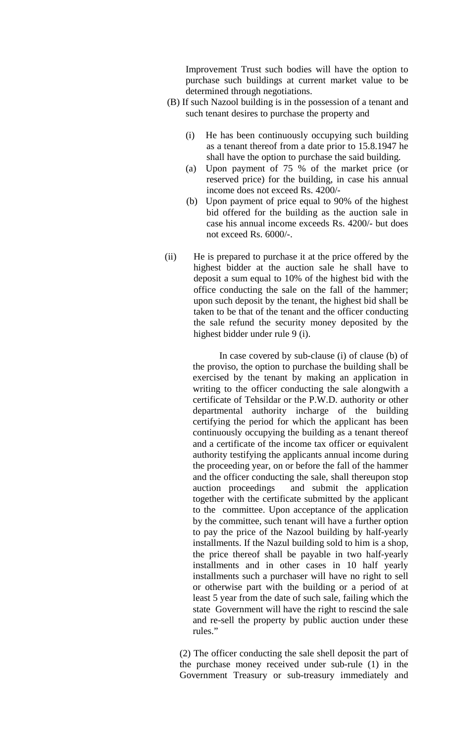Improvement Trust such bodies will have the option to purchase such buildings at current market value to be determined through negotiations.

- (B) If such Nazool building is in the possession of a tenant and such tenant desires to purchase the property and
	- (i) He has been continuously occupying such building as a tenant thereof from a date prior to 15.8.1947 he shall have the option to purchase the said building.
	- (a) Upon payment of 75 % of the market price (or reserved price) for the building, in case his annual income does not exceed Rs. 4200/-
	- (b) Upon payment of price equal to 90% of the highest bid offered for the building as the auction sale in case his annual income exceeds Rs. 4200/- but does not exceed Rs. 6000/-.
- (ii) He is prepared to purchase it at the price offered by the highest bidder at the auction sale he shall have to deposit a sum equal to 10% of the highest bid with the office conducting the sale on the fall of the hammer; upon such deposit by the tenant, the highest bid shall be taken to be that of the tenant and the officer conducting the sale refund the security money deposited by the highest bidder under rule 9 (i).

In case covered by sub-clause (i) of clause (b) of the proviso, the option to purchase the building shall be exercised by the tenant by making an application in writing to the officer conducting the sale alongwith a certificate of Tehsildar or the P.W.D. authority or other departmental authority incharge of the building certifying the period for which the applicant has been continuously occupying the building as a tenant thereof and a certificate of the income tax officer or equivalent authority testifying the applicants annual income during the proceeding year, on or before the fall of the hammer and the officer conducting the sale, shall thereupon stop auction proceedings and submit the application together with the certificate submitted by the applicant to the committee. Upon acceptance of the application by the committee, such tenant will have a further option to pay the price of the Nazool building by half-yearly installments. If the Nazul building sold to him is a shop, the price thereof shall be payable in two half-yearly installments and in other cases in 10 half yearly installments such a purchaser will have no right to sell or otherwise part with the building or a period of at least 5 year from the date of such sale, failing which the state Government will have the right to rescind the sale and re-sell the property by public auction under these rules."

(2) The officer conducting the sale shell deposit the part of the purchase money received under sub-rule (1) in the Government Treasury or sub-treasury immediately and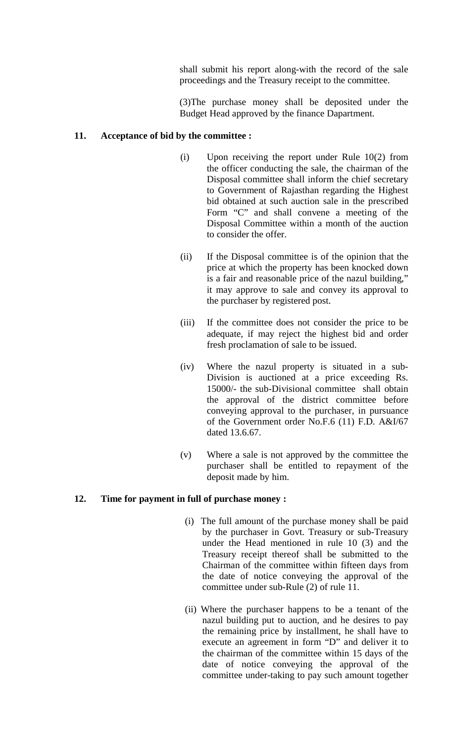shall submit his report along-with the record of the sale proceedings and the Treasury receipt to the committee.

(3)The purchase money shall be deposited under the Budget Head approved by the finance Dapartment.

#### **11. Acceptance of bid by the committee :**

- (i) Upon receiving the report under Rule 10(2) from the officer conducting the sale, the chairman of the Disposal committee shall inform the chief secretary to Government of Rajasthan regarding the Highest bid obtained at such auction sale in the prescribed Form "C" and shall convene a meeting of the Disposal Committee within a month of the auction to consider the offer.
- (ii) If the Disposal committee is of the opinion that the price at which the property has been knocked down is a fair and reasonable price of the nazul building," it may approve to sale and convey its approval to the purchaser by registered post.
- (iii) If the committee does not consider the price to be adequate, if may reject the highest bid and order fresh proclamation of sale to be issued.
- (iv) Where the nazul property is situated in a sub-Division is auctioned at a price exceeding Rs. 15000/- the sub-Divisional committee shall obtain the approval of the district committee before conveying approval to the purchaser, in pursuance of the Government order No.F.6 (11) F.D. A&I/67 dated 13.6.67.
- (v) Where a sale is not approved by the committee the purchaser shall be entitled to repayment of the deposit made by him.

#### **12. Time for payment in full of purchase money :**

- (i) The full amount of the purchase money shall be paid by the purchaser in Govt. Treasury or sub-Treasury under the Head mentioned in rule 10 (3) and the Treasury receipt thereof shall be submitted to the Chairman of the committee within fifteen days from the date of notice conveying the approval of the committee under sub-Rule (2) of rule 11.
- (ii) Where the purchaser happens to be a tenant of the nazul building put to auction, and he desires to pay the remaining price by installment, he shall have to execute an agreement in form "D" and deliver it to the chairman of the committee within 15 days of the date of notice conveying the approval of the committee under-taking to pay such amount together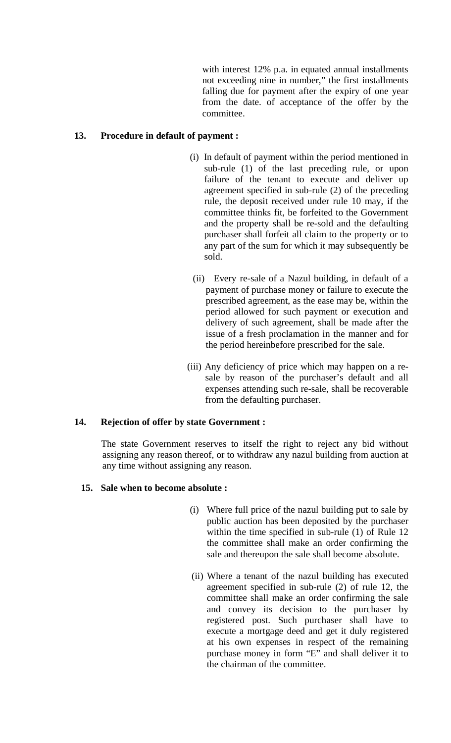with interest 12% p.a. in equated annual installments not exceeding nine in number," the first installments falling due for payment after the expiry of one year from the date. of acceptance of the offer by the committee.

### **13. Procedure in default of payment :**

- (i) In default of payment within the period mentioned in sub-rule (1) of the last preceding rule, or upon failure of the tenant to execute and deliver up agreement specified in sub-rule (2) of the preceding rule, the deposit received under rule 10 may, if the committee thinks fit, be forfeited to the Government and the property shall be re-sold and the defaulting purchaser shall forfeit all claim to the property or to any part of the sum for which it may subsequently be sold.
- (ii) Every re-sale of a Nazul building, in default of a payment of purchase money or failure to execute the prescribed agreement, as the ease may be, within the period allowed for such payment or execution and delivery of such agreement, shall be made after the issue of a fresh proclamation in the manner and for the period hereinbefore prescribed for the sale.
- (iii) Any deficiency of price which may happen on a resale by reason of the purchaser's default and all expenses attending such re-sale, shall be recoverable from the defaulting purchaser.

### **14. Rejection of offer by state Government :**

The state Government reserves to itself the right to reject any bid without assigning any reason thereof, or to withdraw any nazul building from auction at any time without assigning any reason.

### **15. Sale when to become absolute :**

- (i) Where full price of the nazul building put to sale by public auction has been deposited by the purchaser within the time specified in sub-rule (1) of Rule 12 the committee shall make an order confirming the sale and thereupon the sale shall become absolute.
- (ii) Where a tenant of the nazul building has executed agreement specified in sub-rule (2) of rule 12, the committee shall make an order confirming the sale and convey its decision to the purchaser by registered post. Such purchaser shall have to execute a mortgage deed and get it duly registered at his own expenses in respect of the remaining purchase money in form "E" and shall deliver it to the chairman of the committee.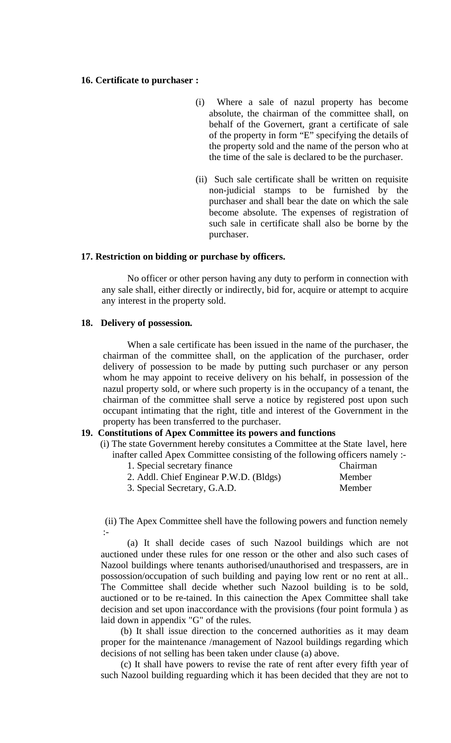#### **16. Certificate to purchaser :**

- (i) Where a sale of nazul property has become absolute, the chairman of the committee shall, on behalf of the Governert, grant a certificate of sale of the property in form "E" specifying the details of the property sold and the name of the person who at the time of the sale is declared to be the purchaser.
- (ii) Such sale certificate shall be written on requisite non-judicial stamps to be furnished by the purchaser and shall bear the date on which the sale become absolute. The expenses of registration of such sale in certificate shall also be borne by the purchaser.

#### **17. Restriction on bidding or purchase by officers.**

No officer or other person having any duty to perform in connection with any sale shall, either directly or indirectly, bid for, acquire or attempt to acquire any interest in the property sold.

#### **18. Delivery of possession.**

When a sale certificate has been issued in the name of the purchaser, the chairman of the committee shall, on the application of the purchaser, order delivery of possession to be made by putting such purchaser or any person whom he may appoint to receive delivery on his behalf, in possession of the nazul property sold, or where such property is in the occupancy of a tenant, the chairman of the committee shall serve a notice by registered post upon such occupant intimating that the right, title and interest of the Government in the property has been transferred to the purchaser.

#### **19. Constitutions of Apex Committee its powers and functions**

(i) The state Government hereby consitutes a Committee at the State lavel, here inafter called Apex Committee consisting of the following officers namely :-

1. Special secretary finance Chairman 2. Addl. Chief Enginear P.W.D. (Bldgs) Member 3. Special Secretary, G.A.D. Member

 (ii) The Apex Committee shell have the following powers and function nemely :-

(a) It shall decide cases of such Nazool buildings which are not auctioned under these rules for one resson or the other and also such cases of Nazool buildings where tenants authorised/unauthorised and trespassers, are in possossion/occupation of such building and paying low rent or no rent at all.. The Committee shall decide whether such Nazool building is to be sold, auctioned or to be re-tained. In this cainection the Apex Committee shall take decision and set upon inaccordance with the provisions (four point formula ) as laid down in appendix "G" of the rules.

(b) It shall issue direction to the concerned authorities as it may deam proper for the maintenance /management of Nazool buildings regarding which decisions of not selling has been taken under clause (a) above.

(c) It shall have powers to revise the rate of rent after every fifth year of such Nazool building reguarding which it has been decided that they are not to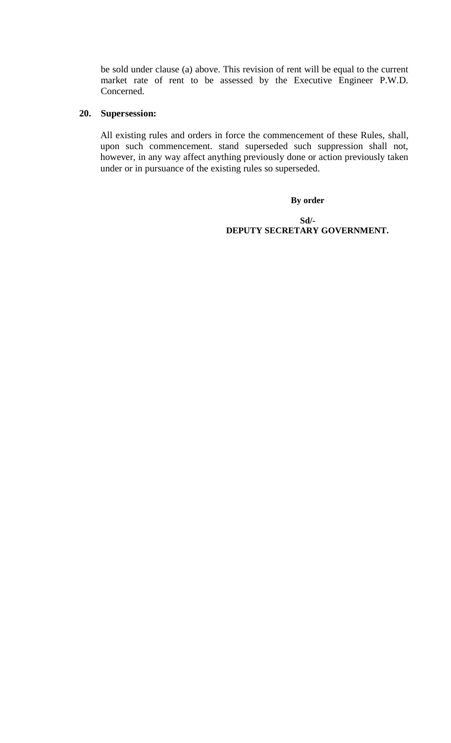be sold under clause (a) above. This revision of rent will be equal to the current market rate of rent to be assessed by the Executive Engineer P.W.D. Concerned.

#### **20. Supersession:**

All existing rules and orders in force the commencement of these Rules, shall, upon such commencement. stand superseded such suppression shall not, however, in any way affect anything previously done or action previously taken under or in pursuance of the existing rules so superseded.

**By order**

**Sd/- DEPUTY SECRETARY GOVERNMENT.**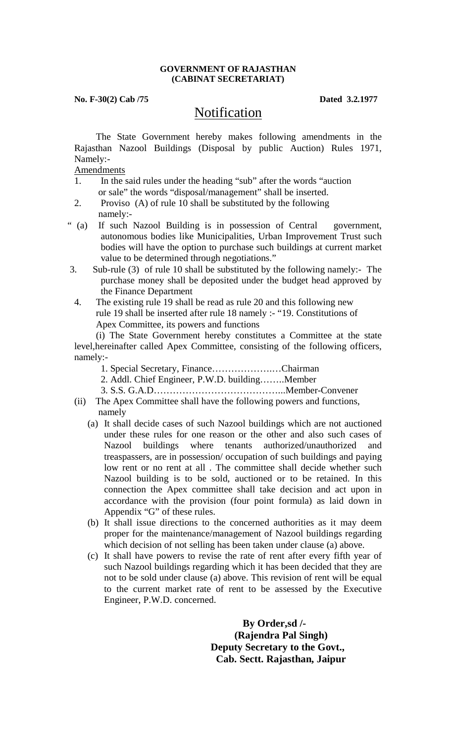#### **GOVERNMENT OF RAJASTHAN (CABINAT SECRETARIAT)**

**No. F-30(2) Cab /75 Dated 3.2.1977**

# **Notification**

 The State Government hereby makes following amendments in the Rajasthan Nazool Buildings (Disposal by public Auction) Rules 1971, Namely:-

Amendments

- 1. In the said rules under the heading "sub" after the words "auction or sale" the words "disposal/management" shall be inserted.
- 2. Proviso (A) of rule 10 shall be substituted by the following
- namely:-<br>" (a) If such If such Nazool Building is in possession of Central government, autonomous bodies like Municipalities, Urban Improvement Trust such bodies will have the option to purchase such buildings at current market value to be determined through negotiations."
- 3. Sub-rule (3) of rule 10 shall be substituted by the following namely:- The purchase money shall be deposited under the budget head approved by the Finance Department
- 4. The existing rule 19 shall be read as rule 20 and this following new rule 19 shall be inserted after rule 18 namely :- "19. Constitutions of Apex Committee, its powers and functions

 (i) The State Government hereby constitutes a Committee at the state level,hereinafter called Apex Committee, consisting of the following officers, namely:-

- 1. Special Secretary, Finance……………….…Chairman
- 2. Addl. Chief Engineer, P.W.D. building……..Member
- 3. S.S. G.A.D…………………………………...Member-Convener
- (ii) The Apex Committee shall have the following powers and functions, namely
	- (a) It shall decide cases of such Nazool buildings which are not auctioned under these rules for one reason or the other and also such cases of Nazool buildings where tenants authorized/unauthorized and treaspassers, are in possession/ occupation of such buildings and paying low rent or no rent at all. The committee shall decide whether such Nazool building is to be sold, auctioned or to be retained. In this connection the Apex committee shall take decision and act upon in accordance with the provision (four point formula) as laid down in Appendix "G" of these rules.
	- (b) It shall issue directions to the concerned authorities as it may deem proper for the maintenance/management of Nazool buildings regarding which decision of not selling has been taken under clause (a) above.
	- (c) It shall have powers to revise the rate of rent after every fifth year of such Nazool buildings regarding which it has been decided that they are not to be sold under clause (a) above. This revision of rent will be equal to the current market rate of rent to be assessed by the Executive Engineer, P.W.D. concerned.

**By Order,sd /- (Rajendra Pal Singh) Deputy Secretary to the Govt., Cab. Sectt. Rajasthan, Jaipur**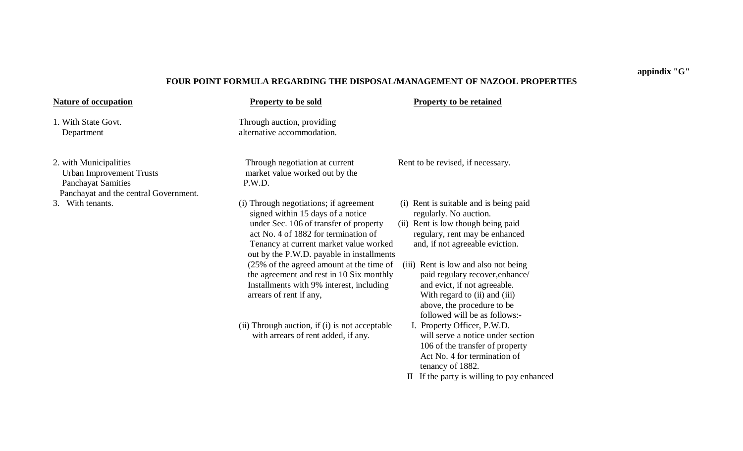#### **FOUR POINT FORMULA REGARDING THE DISPOSAL/MANAGEMENT OF NAZOOL PROPERTIES**

**Nature of occupation Property to be sold Property to be retained** 1. With State Govt. Through auction, providing Department alternative accommodation. 2. with Municipalities Through negotiation at current Rent to be revised, if necessary. Urban Improvement Trusts market value worked out by the Panchayat Samities P.W.D. Panchayat and the central Government. 3. With tenants. (i) Through negotiations; if agreement (i) Rent is suitable and is being paid signed within 15 days of a notice regularly. No auction. under Sec. 106 of transfer of property (ii) Rent is low though being paid act No. 4 of 1882 for termination of regulary, rent may be enhanced Tenancy at current market value worked and, if not agreeable eviction. out by the P.W.D. payable in installments (25% of the agreed amount at the time of (iii) Rent is low and also not being<br>the agreement and rest in 10 Six monthly paid regulary recover, enhance/ the agreement and rest in  $10 \text{ Six monthly}$ Installments with 9% interest, including and evict, if not agreeable. arrears of rent if any, With regard to (ii) and (iii) above, the procedure to be followed will be as follows:- (ii) Through auction, if (i) is not acceptable I. Property Officer, P.W.D. with arrears of rent added, if any. will serve a notice under section 106 of the transfer of property Act No. 4 for termination of tenancy of 1882. II If the party is willing to pay enhanced

#### **appindix "G"**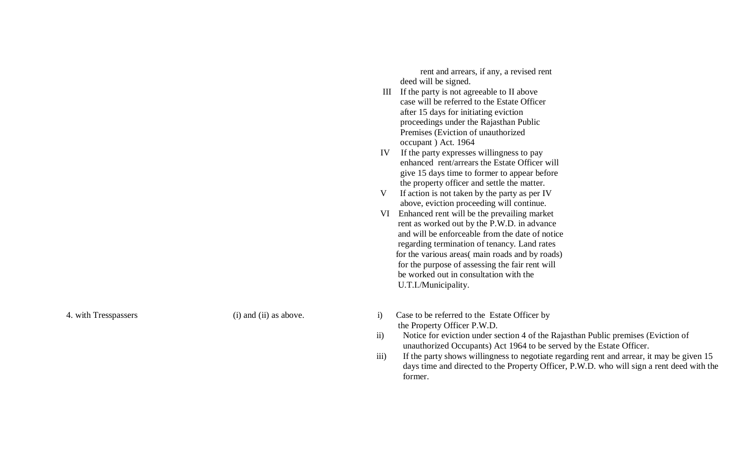rent and arrears, if any, a revised rent deed will be signed.

- III If the party is not agreeable to II above case will be referred to the Estate Officer after 15 days for initiating eviction proceedings under the Rajasthan Public Premises (Eviction of unauthorized occupant ) Act. 1964
- IV If the party expresses willingness to pay enhanced rent/arrears the Estate Officer will give 15 days time to former to appear before the property officer and settle the matter.
- V If action is not taken by the party as per IV above, eviction proceeding will continue.
- VI Enhanced rent will be the prevailing market rent as worked out by the P.W.D. in advance and will be enforceable from the date of notice regarding termination of tenancy. Land rates for the various areas( main roads and by roads) for the purpose of assessing the fair rent will be worked out in consultation with the U.T.I./Municipality.
- 4. with Tresspassers (i) and (ii) as above. i) Case to be referred to the Estate Officer by the Property Officer P.W.D.
	- ii) Notice for eviction under section 4 of the Rajasthan Public premises (Eviction of unauthorized Occupants) Act 1964 to be served by the Estate Officer.
	- iii) If the party shows willingness to negotiate regarding rent and arrear, it may be given 15 days time and directed to the Property Officer, P.W.D. who will sign a rent deed with the former.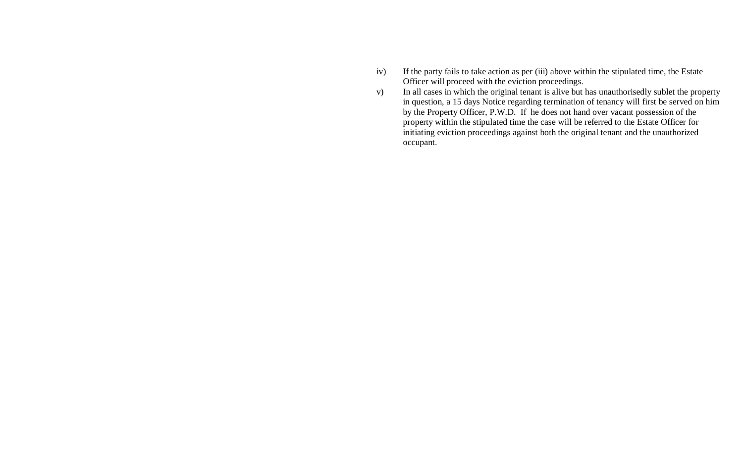- iv) If the party fails to take action as per (iii) above within the stipulated time, the Estate Officer will proceed with the eviction proceedings.
- v) In all cases in which the original tenant is alive but has unauthorisedly sublet the property in question, a 15 days Notice regarding termination of tenancy will first be served on him by the Property Officer, P.W.D. If he does not hand over vacant possession of the property within the stipulated time the case will be referred to the Estate Officer for initiating eviction proceedings against both the original tenant and the unauthorized occupant.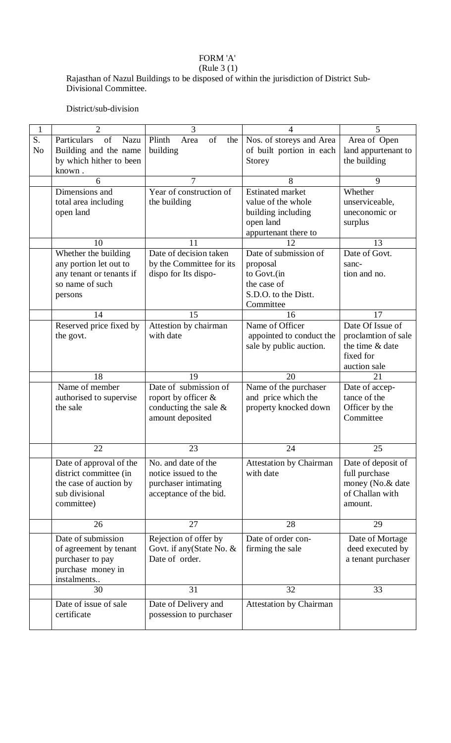### FORM 'A'

#### (Rule 3 (1)

Rajasthan of Nazul Buildings to be disposed of within the jurisdiction of District Sub-Divisional Committee.

District/sub-division

| $\mathbf{1}$   | $\overline{2}$                      | 3                           | 4                              | 5                           |
|----------------|-------------------------------------|-----------------------------|--------------------------------|-----------------------------|
| S.             | of<br>Particulars<br>Nazu           | of<br>Plinth<br>Area<br>the | Nos. of storeys and Area       | Area of Open                |
| N <sub>o</sub> | Building and the name               | building                    | of built portion in each       | land appurtenant to         |
|                | by which hither to been             |                             | Storey                         | the building                |
|                | known.                              |                             |                                |                             |
|                | 6                                   |                             | 8                              | 9                           |
|                | Dimensions and                      | Year of construction of     | <b>Estinated market</b>        | Whether                     |
|                | total area including                | the building                | value of the whole             | unserviceable,              |
|                | open land                           |                             | building including             | uneconomic or               |
|                |                                     |                             | open land                      | surplus                     |
|                |                                     |                             | appurtenant there to           |                             |
|                | 10                                  | 11                          | 12                             | 13                          |
|                | Whether the building                | Date of decision taken      | Date of submission of          | Date of Govt.               |
|                | any portion let out to              | by the Committee for its    | proposal                       | sanc-                       |
|                | any tenant or tenants if            | dispo for Its dispo-        | to Govt.(in                    | tion and no.                |
|                | so name of such                     |                             | the case of                    |                             |
|                | persons                             |                             | S.D.O. to the Distt.           |                             |
|                |                                     |                             | Committee                      |                             |
|                | 14                                  | 15                          | 16                             | 17                          |
|                | Reserved price fixed by             | Attestion by chairman       | Name of Officer                | Date Of Issue of            |
|                | the govt.                           | with date                   | appointed to conduct the       | proclamtion of sale         |
|                |                                     |                             | sale by public auction.        | the time & date             |
|                |                                     |                             |                                | fixed for                   |
|                |                                     |                             |                                | auction sale                |
|                | 18                                  | 19                          | 20                             | 21                          |
|                | Name of member                      | Date of submission of       | Name of the purchaser          | Date of accep-              |
|                | authorised to supervise<br>the sale | roport by officer &         | and price which the            | tance of the                |
|                |                                     | conducting the sale $\&$    | property knocked down          | Officer by the<br>Committee |
|                |                                     | amount deposited            |                                |                             |
|                |                                     |                             |                                |                             |
|                | 22                                  | 23                          | 24                             | 25                          |
|                | Date of approval of the             | No. and date of the         | <b>Attestation by Chairman</b> | Date of deposit of          |
|                | district committee (in              | notice issued to the        | with date                      | full purchase               |
|                | the case of auction by              | purchaser intimating        |                                | money (No.& date            |
|                | sub divisional                      | acceptance of the bid.      |                                | of Challan with             |
|                | committee)                          |                             |                                | amount.                     |
|                |                                     |                             |                                |                             |
|                | 26                                  | 27                          | 28                             | 29                          |
|                | Date of submission                  | Rejection of offer by       | Date of order con-             | Date of Mortage             |
|                | of agreement by tenant              | Govt. if any (State No. $&$ | firming the sale               | deed executed by            |
|                | purchaser to pay                    | Date of order.              |                                | a tenant purchaser          |
|                | purchase money in                   |                             |                                |                             |
|                | instalments                         |                             |                                |                             |
|                | 30                                  | 31                          | 32                             | 33                          |
|                | Date of issue of sale               | Date of Delivery and        | <b>Attestation by Chairman</b> |                             |
|                | certificate                         | possession to purchaser     |                                |                             |
|                |                                     |                             |                                |                             |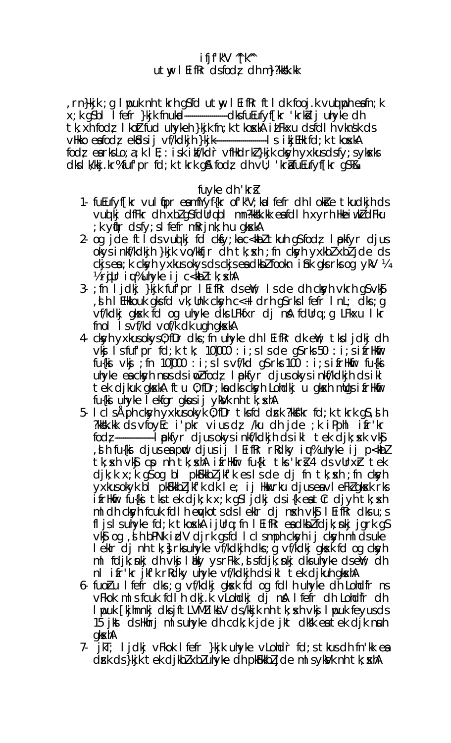# $i$  fjf'k" $V$  "[k"  $utw$  I EifRr dsfodz dh m ?? kk . kk

rn}kjk ; g I puk nh tkrh g\$fd utw, I EifRr ftI dk fooj.k vud poh eafn; k x; k q\$b| l fefr }kjk fnukud------------------------dksfuEufyf[kr 'krkkij uhyke dh tk; xh fod; I koltfud uhykeh }kjk fn; k tkoxka i LFkxu dsfdl h vknsk ds fodz earks Lo; a; k I E; : isk i kf/kdr vfHkdrkl}kjk cksyh yxkus dsfy; sykseks dks I k/kkj.kr%fuf'pr fd; k tkrk g& fodz dh vU; 'krituEufyf[kr g\$%&

# fuyke dh 'kri

- 1- fuEufyf[kr vul tipr eamfYyf{kr of'k"V; kal fefr dh I okte tkudkjh ds vud kj diffkr dh xbl g\$fdUrqbI mn?kksk.kk eafdIh xyrh HkeiwkldFku ; k yn[r dsfy; slfefr mRrjnk; h u gkskA
- 2 og jde ftlds vuolkj fd ckfy; kac<kbltkuhg\$fod; lpokfyr djus okysinkf/kdkjh }kjk vo/kkfjr dh tk; xh; fn ckyh yxkbl xbl jde ds ckjsea; k cksyh yxkus okys ds ckjsea dkbl fookn i fink gks rks og ykV ¼ 1/2 rgUr iqu% unyke ij c<kbltk; skh
- 3 ; fn ljdkj }kjk fur r l Eifkr ds ewl; I s de dh ckyh vkrh g s vkg , it is in this likely that  $\alpha$  is a link close in  $\alpha$  is a light of  $\alpha$  is a link of  $\alpha$  is a link of  $\alpha$  is a link of  $\alpha$  is a link of  $\alpha$  is a link of  $\alpha$  is a link of  $\alpha$  is a link of  $\alpha$  is a link of  $\alpha$  i vf/kdkj gkok fd og uhyke dks LFkfxr dj nå fdUrq;g LFkxu I kr fnol I s vf/kd vof/k dk ugh gkxkA
- 4 cksyh yxkus okys 0; fDr dks; fn uhyke dh I EifRr dk eW; tks I j dkj dh vkj lsfuf pr fd; k tk; 10]000: i; s l s de g s rks 50: i; s i fr Hkfir  $fu{k}$  ivki ; fn 10,000 : i; s I s vf/kd qS rks 100 : i; s i frHkfir fu{ki uhyke eacksyh nus ds ind fodz I pokfyr djus okys inkf/kdkjh ds ikl tek dikuk akskA ftu 0; fDr; ka dks cksyh Lohdkj u akskh mllas ifrHkfir fu{ki uhyke I ekfgr gkusij ykVk nh tk; skhA
- 5. I cls Aph ckyh yxkus okyk 0; fDr tks fd drk ?kkf"kr fd; k tkrk q\$, s h ?kksk.kk ds vfoy $E$ c i'pkr vius dz /ku dh jde ; k iPphl ifr'kr? fodz -----------------------I pokfyr djusokysinkf/kdkjh dsikl tek djk; sxk vk\$ , i h fu{ki djus ea pnd djus ij l EifRr rRdky iqu% uhyke ij p<kbl tk; sch vkg cp nh tk; sch i irlkir fu{ki tks 'kri} 4 ds vUrxir tek djk; k x; k g\$ og bl pk\$kkbljkfk es s de dj fn tk; s h; fn cksyh yxkus okyk bl pk&kkbljkf'k dk le; ij Hkukrku djus ea vleFklgksk rks ifrHkfir fu{ki tkstek djk;k x;k g\$ljdkj dsi{k eatCr djyh tk; skh m I dh ckyh fcuk fd I h eykots ds I ekir dj n xh vk $\mathfrak s$  I Eifkr dks u; s fl js I suhyke fd; k tkoska i j $Urq$ ; fn I EifRr eadkb $l$  fdjk; nkj jgrk q $S$ vk\$ og , st h bPNk i dV djrk gsfd I cI smph cksyh ij cksyh mI ds uke I ekir dj nh tk; } rks uhyke vf/kdkjh dks ; g vf/kdkj gksk fd og cksyh m  $\mathsf{Id}$  is the interpretational in the control of  $\mathsf{Id}$  is the control of  $\mathsf{Id}$  is the control of  $\mathsf{Id}$  is the control of  $\mathsf{Id}$  is the control of  $\mathsf{Id}$  is the control of  $\mathsf{Id}$  is the control of  $\mathsf{Id$ nl ifr'kr jkf'k rRdky uhyke vf/kdkjh dsikl tek djkuh gkskA
- 6 fuoru l fefr dls; q vf/kdkj glock fd og fdl h ultyke dla Loltdfr ns vFkok mlsfcuk fdlh dkj.k vLohdkj dj nå lfefr dh Lohdfr dh I pouk [kihnnki dksjftLVMIjkk]V ds/kkjk nh tk; skh vkj I pouk feyusds 15 jkst ds Hkhrj mls uhyke dh cdk; k jde jkt dksk ea tek djk nuh qkxhA
- 7- jkT; ljdkj vFkok lfefr }kjk uhyke vLohdr fd;s tkus dh fn'kk ea drk ds }kjk tek djkblxbluhyke dh pkfkkbljde mlsykyk nh tk; xhA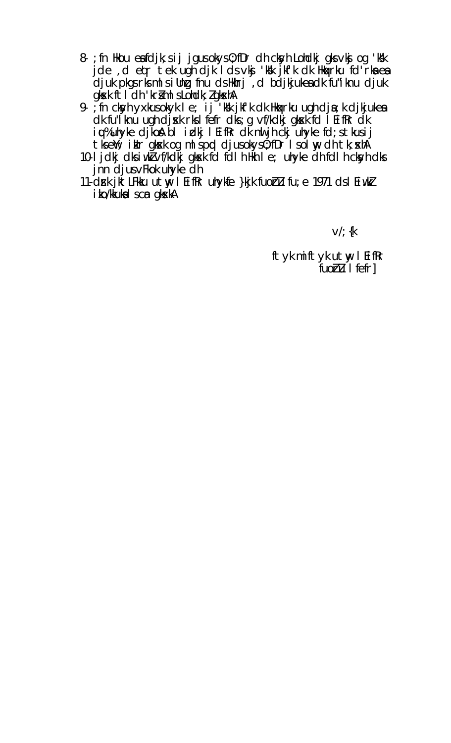- 8- ; fn Hkou ea fdjk; s i j jgus okys 0; fDr dh ckyh Lohdkj gks vkj og 'k'k jde, detritek ugh djk I dsvkj 'kk jkf'k dk Hka rku fd'rka ea djuk pkgs rks mls illng fnu ds Hkhrj, d bdjkjukes dk fu"iknu djuk gksk ftldh 'krimlsLohdk; I gkskh
- 9- in ckyh yxkusokyk I e; ij 'k'k jkf'k dk Hkarku ugh dja; k djkjukea dk fu"i knu ugh djsk rks I fefr dks; g vf/kdkj gksk fd I EifRr dk iq%uhyke djkosh bi irdkj l EifRr dk nu jh ckj uhyke fd; s tkusij tkself; ikln gksk og mlspod djusokys0; fDr Isolny dh tk; skhA
- 10-1 jdkj dks i w Norf/kdkj gkok fd fall h HMh I e; uhyke dh fd I h ckyh dks jnn djus vFkok uhyke dh
- 11-drk jktLFkku utw I Eifkr uhykfe }kjk fuoru fu; e 1971 ds I Eiwkl i ko/kkuka I scn gkskA

 $V'/$  {k

ftyk miftyk utw I Eifkr fuoru I fefr]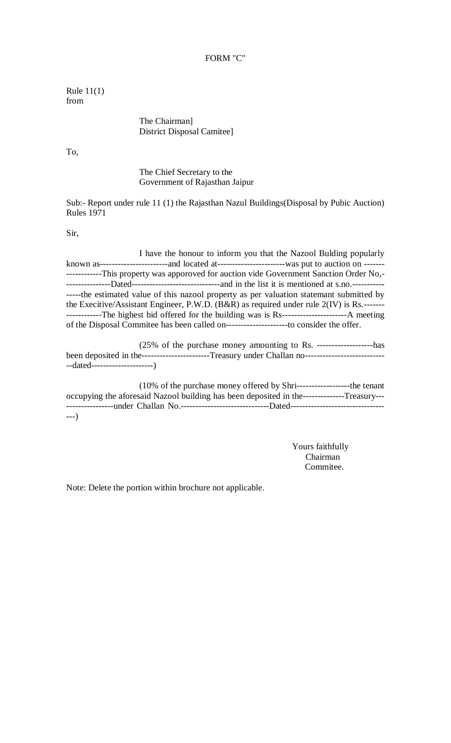#### FORM "C"

Rule 11(1) from

> The Chairman] District Disposal Camitee]

To,

The Chief Secretary to the Government of Rajasthan Jaipur

Sub:- Report under rule 11 (1) the Rajasthan Nazul Buildings(Disposal by Pubic Auction) Rules 1971

Sir,

I have the honour to inform you that the Nazool Bulding popularly known as-----------------------and located at-----------------------was put to auction on ------- ------------This property was apporoved for auction vide Government Sanction Order No,- ---------------Dated------------------------------and in the list it is mentioned at s.no.----------- -----the estimated value of this nazool property as per valuation statemant submitted by the Execitive/Assistant Engineer, P.W.D. (B&R) as required under rule 2(IV) is Rs.------- ------------The highest bid offered for the building was is Rs----------------------A meeting of the Disposal Commitee has been called on---------------------to consider the offer.

(25% of the purchase money amounting to Rs. -------------------has been deposited in the-----------------------Treasury under Challan no--------------------------------dated---------------------)

| $(10\% \text{ of the purchase money offered by Shri---12222}$ the tenant                            |  |
|-----------------------------------------------------------------------------------------------------|--|
| occupying the aforesaid Nazool building has been deposited in the---------------Treasury---         |  |
| ----------------under Challan No.-----------------------------Dated-------------------------------- |  |
| $---)$                                                                                              |  |

Yours faithfully Chairman Commitee.

Note: Delete the portion within brochure not applicable.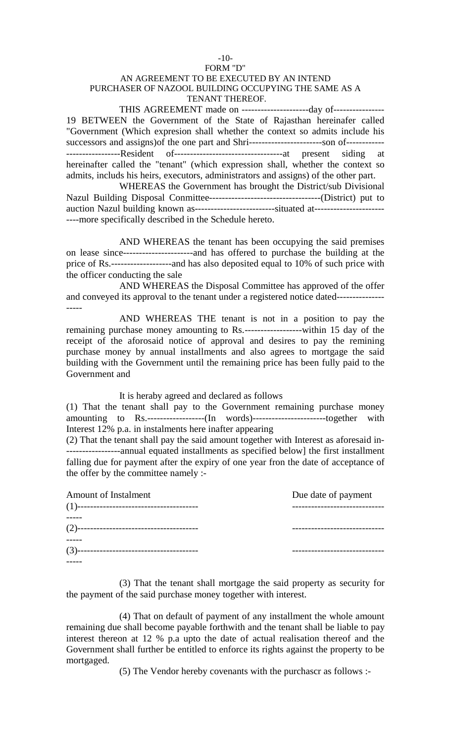#### FORM "D" AN AGREEMENT TO BE EXECUTED BY AN INTEND PURCHASER OF NAZOOL BUILDING OCCUPYING THE SAME AS A TENANT THEREOF.

 $-10-$ 

THIS AGREEMENT made on ------------------------day of-----------------19 BETWEEN the Government of the State of Rajasthan hereinafer called "Government (Which expresion shall whether the context so admits include his successors and assigns)of the one part and Shri-----------------------son of------------ -----------------Resident of----------------------------------at present siding at hereinafter called the "tenant" (which expression shall, whether the context so admits, includs his heirs, executors, administrators and assigns) of the other part.

WHEREAS the Government has brought the District/sub Divisional Nazul Building Disposal Conmittee-----------------------------------(District) put to auction Nazul building known as----------------------------situated at---------------------------more specifically described in the Schedule hereto.

AND WHEREAS the tenant has been occupying the said premises on lease since----------------------and has offered to purchase the building at the price of Rs.-------------------and has also deposited equal to 10% of such price with the officer conducting the sale

AND WHEREAS the Disposal Committee has approved of the offer and conveyed its approval to the tenant under a registered notice dated---------------

AND WHEREAS THE tenant is not in a position to pay the remaining purchase money amounting to Rs.------------------within 15 day of the receipt of the aforosaid notice of approval and desires to pay the remining purchase money by annual installments and also agrees to mortgage the said building with the Government until the remaining price has been fully paid to the Government and

It is heraby agreed and declared as follows

-----

(1) That the tenant shall pay to the Government remaining purchase money amounting to Rs.------------------(In words)-----------------------together with Interest 12% p.a. in instalments here inafter appearing

(2) That the tenant shall pay the said amount together with Interest as aforesaid in- -----------------annual equated installments as specified below] the first installment falling due for payment after the expiry of one year fron the date of acceptance of the offer by the committee namely :-

| <b>Amount of Instalment</b> | Due date of payment     |
|-----------------------------|-------------------------|
|                             |                         |
|                             | -----------------       |
|                             | ----------------------- |
|                             |                         |

(3) That the tenant shall mortgage the said property as security for the payment of the said purchase money together with interest.

(4) That on default of payment of any installment the whole amount remaining due shall become payable forthwith and the tenant shall be liable to pay interest thereon at 12 % p.a upto the date of actual realisation thereof and the Government shall further be entitled to enforce its rights against the property to be mortgaged.

(5) The Vendor hereby covenants with the purchascr as follows :-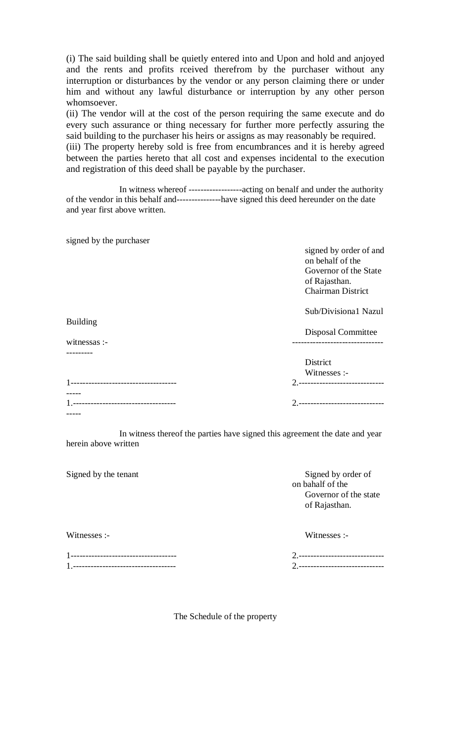(i) The said building shall be quietly entered into and Upon and hold and anjoyed and the rents and profits rceived therefrom by the purchaser without any interruption or disturbances by the vendor or any person claiming there or under him and without any lawful disturbance or interruption by any other person whomsoever.

(ii) The vendor will at the cost of the person requiring the same execute and do every such assurance or thing necessary for further more perfectly assuring the said building to the purchaser his heirs or assigns as may reasonably be required.

(iii) The property hereby sold is free from encumbrances and it is hereby agreed between the parties hereto that all cost and expenses incidental to the execution and registration of this deed shall be payable by the purchaser.

In witness whereof ------------------acting on benalf and under the authority of the vendor in this behalf and---------------have signed this deed hereunder on the date and year first above written.

| signed by the purchaser            |                                    |
|------------------------------------|------------------------------------|
|                                    | signed by order of and             |
|                                    | on behalf of the                   |
|                                    | Governor of the State              |
|                                    | of Rajasthan.                      |
|                                    | Chairman District                  |
|                                    | Sub/Divisiona1 Nazul               |
| <b>Building</b>                    |                                    |
|                                    | Disposal Committee                 |
| witnessas :-                       | ---------------------              |
|                                    |                                    |
|                                    | District                           |
|                                    | Witnesses :-                       |
| ---------------------------------- | 2. ------------------------------- |
|                                    |                                    |
| -------------------------------    | 2.-----------------------------    |
|                                    |                                    |

In witness thereof the parties have signed this agreement the date and year herein above written

| Signed by the tenant | Signed by order of<br>on bahalf of the<br>Governor of the state<br>of Rajasthan. |
|----------------------|----------------------------------------------------------------------------------|
| Witnesses :-         | Witnesses :-                                                                     |

1------------------------------------ 2.----------------------------- 1.----------------------------------- 2.-----------------------------

The Schedule of the property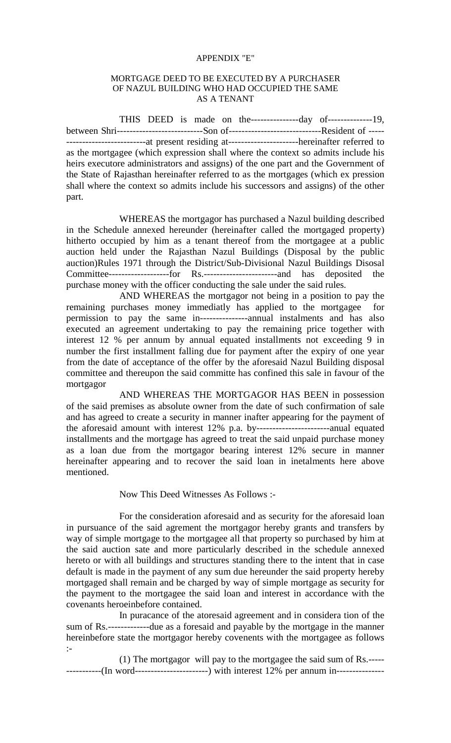#### APPENDIX "E"

#### MORTGAGE DEED TO BE EXECUTED BY A PURCHASER OF NAZUL BUILDING WHO HAD OCCUPIED THE SAME AS A TENANT

THIS DEED is made on the---------------day of--------------19, between Shri---------------------------Son of-----------------------------Resident of ----- -------------------------at present residing at----------------------hereinafter referred to as the mortgagee (which expression shall where the context so admits include his heirs executore administrators and assigns) of the one part and the Government of the State of Rajasthan hereinafter referred to as the mortgages (which ex pression shall where the context so admits include his successors and assigns) of the other part.

WHEREAS the mortgagor has purchased a Nazul building described in the Schedule annexed hereunder (hereinafter called the mortgaged property) hitherto occupied by him as a tenant thereof from the mortgagee at a public auction held under the Rajasthan Nazul Buildings (Disposal by the public auction)Rules 1971 through the District/Sub-Divisional Nazul Buildings Disosal Committee-------------------for Rs.-----------------------and has deposited the purchase money with the officer conducting the sale under the said rules.

AND WHEREAS the mortgagor not being in a position to pay the remaining purchases money immediatly has applied to the mortgagee for permission to pay the same in---------------annual instalments and has also executed an agreement undertaking to pay the remaining price together with interest 12 % per annum by annual equated installments not exceeding 9 in number the first installment falling due for payment after the expiry of one year from the date of acceptance of the offer by the aforesaid Nazul Building disposal committee and thereupon the said committe has confined this sale in favour of the mortgagor

AND WHEREAS THE MORTGAGOR HAS BEEN in possession of the said premises as absolute owner from the date of such confirmation of sale and has agreed to create a security in manner inafter appearing for the payment of the aforesaid amount with interest 12% p.a. by-----------------------anual equated installments and the mortgage has agreed to treat the said unpaid purchase money as a loan due from the mortgagor bearing interest 12% secure in manner hereinafter appearing and to recover the said loan in inetalments here above mentioned.

#### Now This Deed Witnesses As Follows :-

For the consideration aforesaid and as security for the aforesaid loan in pursuance of the said agrement the mortgagor hereby grants and transfers by way of simple mortgage to the mortgagee all that property so purchased by him at the said auction sate and more particularly described in the schedule annexed hereto or with all buildings and structures standing there to the intent that in case default is made in the payment of any sum due hereunder the said property hereby mortgaged shall remain and be charged by way of simple mortgage as security for the payment to the mortgagee the said loan and interest in accordance with the covenants heroeinbefore contained.

In puracance of the atoresaid agreement and in considera tion of the sum of Rs.-------------due as a foresaid and payable by the mortgage in the manner hereinbefore state the mortgagor hereby covenents with the mortgagee as follows :-

(1) The mortgagor will pay to the mortgagee the said sum of Rs.----- -----------(In word--------------------------) with interest 12% per annum in---------------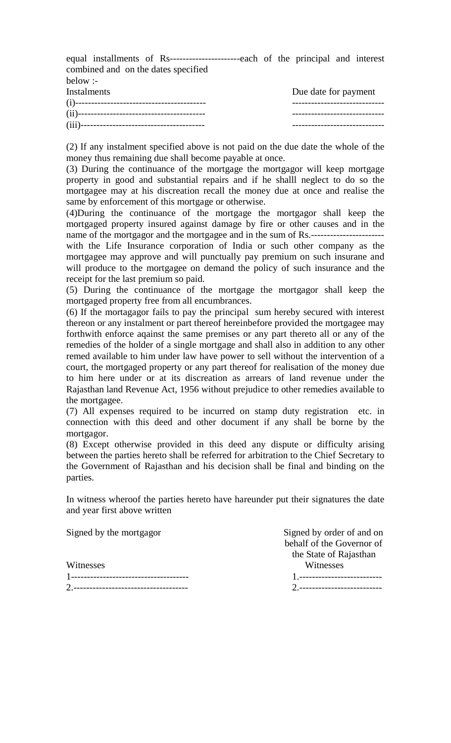equal installments of Rs----------------------each of the principal and interest combined and on the dates specified  $holow$  :

| $1.001$ $V$ $V$ $T$ |                      |
|---------------------|----------------------|
| Instalments         | Due date for payment |
|                     |                      |
|                     |                      |
|                     |                      |

(2) If any instalment specified above is not paid on the due date the whole of the money thus remaining due shall become payable at once.

(3) During the continuance of the mortgage the mortgagor will keep mortgage property in good and substantial repairs and if he shalll neglect to do so the mortgagee may at his discreation recall the money due at once and realise the same by enforcement of this mortgage or otherwise.

(4)During the continuance of the mortgage the mortgagor shall keep the mortgaged property insured against damage by fire or other causes and in the name of the mortgagor and the mortgagee and in the sum of Rs.---------------------- with the Life Insurance corporation of India or such other company as the mortgagee may approve and will punctually pay premium on such insurane and will produce to the mortgagee on demand the policy of such insurance and the receipt for the last premium so paid.

(5) During the continuance of the mortgage the mortgagor shall keep the mortgaged property free from all encumbrances.

(6) If the mortagagor fails to pay the principal sum hereby secured with interest thereon or any instalment or part thereof hereinbefore provided the mortgagee may forthwith enforce aqainst the same premises or any part thereto all or any of the remedies of the holder of a single mortgage and shall also in addition to any other remed available to him under law have power to sell without the intervention of a court, the mortgaged property or any part thereof for realisation of the money due to him here under or at its discreation as arrears of land revenue under the Rajasthan land Revenue Act, 1956 without prejudice to other remedies available to the mortgagee.

(7) All expenses required to be incurred on stamp duty registration etc. in connection with this deed and other document if any shall be borne by the mortgagor.

(8) Except otherwise provided in this deed any dispute or difficulty arising between the parties hereto shall be referred for arbitration to the Chief Secretary to the Government of Rajasthan and his decision shall be final and binding on the parties.

In witness wheroof the parties hereto have hareunder put their signatures the date and year first above written

Witnesses Witnesses 1------------------------------------- 1.-------------------------- 2.------------------------------------ 2.--------------------------

Signed by the mortgagor Signed by order of and on behalf of the Governor of the State of Rajasthan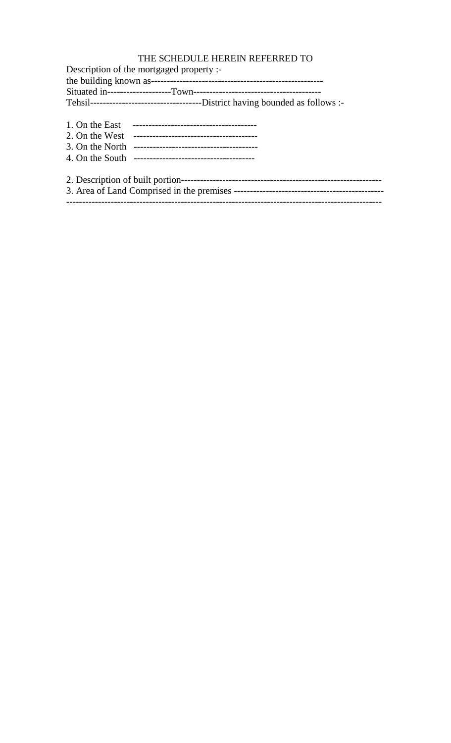### THE SCHEDULE HEREIN REFERRED TO

| Description of the mortgaged property :-                                       |
|--------------------------------------------------------------------------------|
|                                                                                |
|                                                                                |
| Tehsil-----------------------------------District having bounded as follows :- |
|                                                                                |
|                                                                                |
|                                                                                |
|                                                                                |
|                                                                                |
|                                                                                |

---------------------------------------------------------------------------------------------------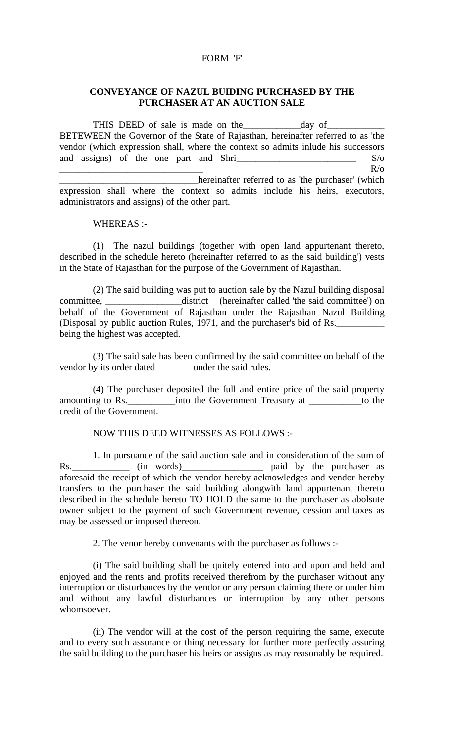### FORM 'F'

#### **CONVEYANCE OF NAZUL BUIDING PURCHASED BY THE PURCHASER AT AN AUCTION SALE**

THIS DEED of sale is made on the \_\_\_\_\_\_\_\_\_\_\_\_\_day of BETEWEEN the Governor of the State of Rajasthan, hereinafter referred to as 'the vendor (which expression shall, where the context so admits inlude his successors and assigns) of the one part and Shri\_\_\_\_\_\_\_\_\_\_\_\_\_\_\_\_\_\_\_\_\_\_\_\_\_ S/o  $\overline{R}/\overline{O}$ \_\_\_\_\_\_\_\_\_\_\_\_\_\_\_\_\_\_\_\_\_\_\_\_\_\_\_\_\_hereinafter referred to as 'the purchaser' (which expression shall where the context so admits include his heirs, executors, administrators and assigns) of the other part.

WHEREAS :-

(1) The nazul buildings (together with open land appurtenant thereto, described in the schedule hereto (hereinafter referred to as the said building') vests in the State of Rajasthan for the purpose of the Government of Rajasthan.

(2) The said building was put to auction sale by the Nazul building disposal committee, \_\_\_\_\_\_\_\_\_\_\_\_\_\_\_\_district (hereinafter called 'the said committee') on behalf of the Government of Rajasthan under the Rajasthan Nazul Building (Disposal by public auction Rules, 1971, and the purchaser's bid of Rs. being the highest was accepted.

(3) The said sale has been confirmed by the said committee on behalf of the vendor by its order dated\_\_\_\_\_\_\_under the said rules.

(4) The purchaser deposited the full and entire price of the said property amounting to Rs.\_\_\_\_\_\_\_\_\_\_into the Government Treasury at \_\_\_\_\_\_\_\_\_\_\_to the credit of the Government.

#### NOW THIS DEED WITNESSES AS FOLLOWS :-

1. In pursuance of the said auction sale and in consideration of the sum of  $\frac{1}{\sqrt{1-\frac{1}{n}}}\$  (in words) and by the purchaser as Rs. \_\_\_\_\_\_\_\_\_\_\_\_\_ (in words)\_\_\_\_\_\_\_\_\_\_\_\_\_\_\_\_\_\_\_\_\_\_ paid by the purchaser as aforesaid the receipt of which the vendor hereby acknowledges and vendor hereby transfers to the purchaser the said building alongwith land appurtenant thereto described in the schedule hereto TO HOLD the same to the purchaser as abolsute owner subject to the payment of such Government revenue, cession and taxes as may be assessed or imposed thereon.

2. The venor hereby convenants with the purchaser as follows :-

(i) The said building shall be quitely entered into and upon and held and enjoyed and the rents and profits received therefrom by the purchaser without any interruption or disturbances by the vendor or any person claiming there or under him and without any lawful disturbances or interruption by any other persons whomsoever.

(ii) The vendor will at the cost of the person requiring the same, execute and to every such assurance or thing necessary for further more perfectly assuring the said building to the purchaser his heirs or assigns as may reasonably be required.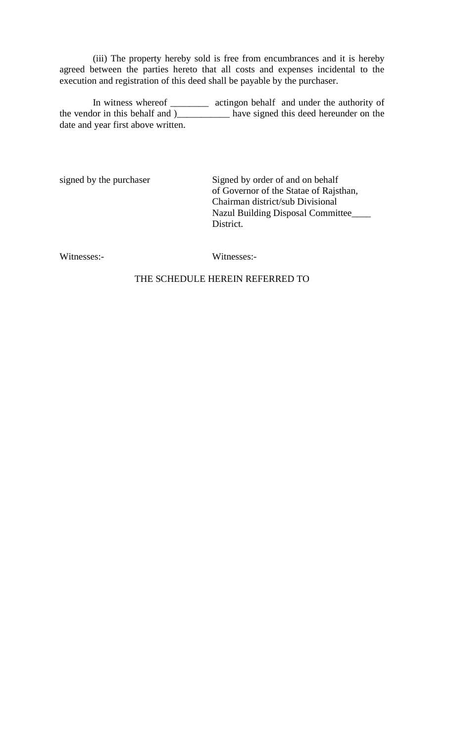(iii) The property hereby sold is free from encumbrances and it is hereby agreed between the parties hereto that all costs and expenses incidental to the execution and registration of this deed shall be payable by the purchaser.

In witness whereof \_\_\_\_\_\_\_\_\_ actingon behalf and under the authority of the vendor in this behalf and )\_\_\_\_\_\_\_\_\_\_\_ have signed this deed hereunder on the date and year first above written.

signed by the purchaser Signed by order of and on behalf of Governor of the Statae of Rajsthan, Chairman district/sub Divisional Nazul Building Disposal Committee\_\_\_\_ District.

Witnesses:-<br>Witnesses:-

### THE SCHEDULE HEREIN REFERRED TO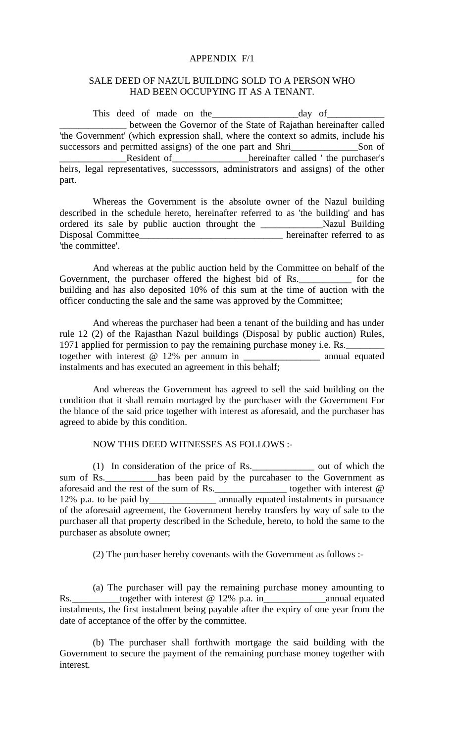#### APPENDIX F/1

#### SALE DEED OF NAZUL BUILDING SOLD TO A PERSON WHO HAD BEEN OCCUPYING IT AS A TENANT.

This deed of made on the day of Let between the Governor of the State of Rajathan hereinafter called 'the Government' (which expression shall, where the context so admits, include his successors and permitted assigns) of the one part and Shri\_\_\_\_\_\_\_\_\_\_\_\_\_\_\_Son of \_\_\_\_\_\_\_\_\_\_\_\_\_\_Resident of\_\_\_\_\_\_\_\_\_\_\_\_\_\_\_\_hereinafter called ' the purchaser's heirs, legal representatives, successsors, administrators and assigns) of the other part.

Whereas the Government is the absolute owner of the Nazul building described in the schedule hereto, hereinafter referred to as 'the building' and has ordered its sale by public auction throught the \_\_\_\_\_\_\_\_\_\_\_\_\_Nazul Building Disposal Committee\_\_\_\_\_\_\_\_\_\_\_\_\_\_\_\_\_\_\_\_\_\_\_\_\_\_\_\_\_\_ hereinafter referred to as 'the committee'.

And whereas at the public auction held by the Committee on behalf of the Government, the purchaser offered the highest bid of Rs. The for the building and has also deposited 10% of this sum at the time of auction with the officer conducting the sale and the same was approved by the Committee;

And whereas the purchaser had been a tenant of the building and has under rule 12 (2) of the Rajasthan Nazul buildings (Disposal by public auction) Rules, 1971 applied for permission to pay the remaining purchase money i.e. Rs.\_\_\_\_\_\_\_\_ together with interest @ 12% per annum in \_\_\_\_\_\_\_\_\_\_\_\_\_\_\_\_\_\_\_\_\_\_ annual equated instalments and has executed an agreement in this behalf;

And whereas the Government has agreed to sell the said building on the condition that it shall remain mortaged by the purchaser with the Government For the blance of the said price together with interest as aforesaid, and the purchaser has agreed to abide by this condition.

#### NOW THIS DEED WITNESSES AS FOLLOWS :-

(1) In consideration of the price of Rs.\_\_\_\_\_\_\_\_\_\_\_\_\_ out of which the sum of Rs.\_\_\_\_\_\_\_\_\_has been paid by the purcahaser to the Government as aforesaid and the rest of the sum of Rs.\_\_\_\_\_\_\_\_\_\_\_\_\_\_\_ together with interest @ 12% p.a. to be paid by\_\_\_\_\_\_\_\_\_\_\_\_\_\_ annually equated instalments in pursuance of the aforesaid agreement, the Government hereby transfers by way of sale to the purchaser all that property described in the Schedule, hereto, to hold the same to the purchaser as absolute owner;

(2) The purchaser hereby covenants with the Government as follows :-

(a) The purchaser will pay the remaining purchase money amounting to Rs.\_\_\_\_\_\_\_\_\_\_together with interest @ 12% p.a. in\_\_\_\_\_\_\_\_\_\_\_\_\_\_\_\_\_\_\_\_\_\_\_\_\_\_\_\_\_\_\_\_annual equated instalments, the first instalment being payable after the expiry of one year from the date of acceptance of the offer by the committee.

(b) The purchaser shall forthwith mortgage the said building with the Government to secure the payment of the remaining purchase money together with interest.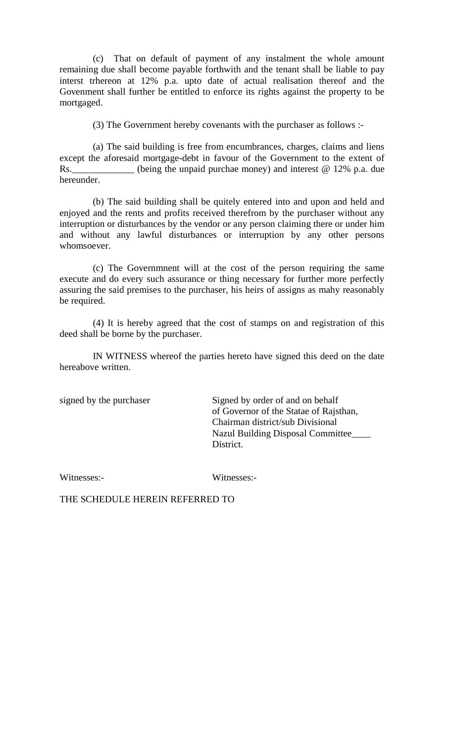(c) That on default of payment of any instalment the whole amount remaining due shall become payable forthwith and the tenant shall be liable to pay interst trhereon at 12% p.a. upto date of actual realisation thereof and the Govenment shall further be entitled to enforce its rights against the property to be mortgaged.

(3) The Government hereby covenants with the purchaser as follows :-

(a) The said building is free from encumbrances, charges, claims and liens except the aforesaid mortgage-debt in favour of the Government to the extent of Rs. \_\_\_\_\_\_\_\_\_\_\_\_ (being the unpaid purchae money) and interest @ 12% p.a. due hereunder.

(b) The said building shall be quitely entered into and upon and held and enjoyed and the rents and profits received therefrom by the purchaser without any interruption or disturbances by the vendor or any person claiming there or under him and without any lawful disturbances or interruption by any other persons whomsoever.

(c) The Governmnent will at the cost of the person requiring the same execute and do every such assurance or thing necessary for further more perfectly assuring the said premises to the purchaser, his heirs of assigns as mahy reasonably be required.

(4) It is hereby agreed that the cost of stamps on and registration of this deed shall be borne by the purchaser.

IN WITNESS whereof the parties hereto have signed this deed on the date hereabove written.

signed by the purchaser Signed by order of and on behalf of Governor of the Statae of Rajsthan, Chairman district/sub Divisional Nazul Building Disposal Committee\_\_\_\_ District.

Witnesses:- Witnesses:-

THE SCHEDULE HEREIN REFERRED TO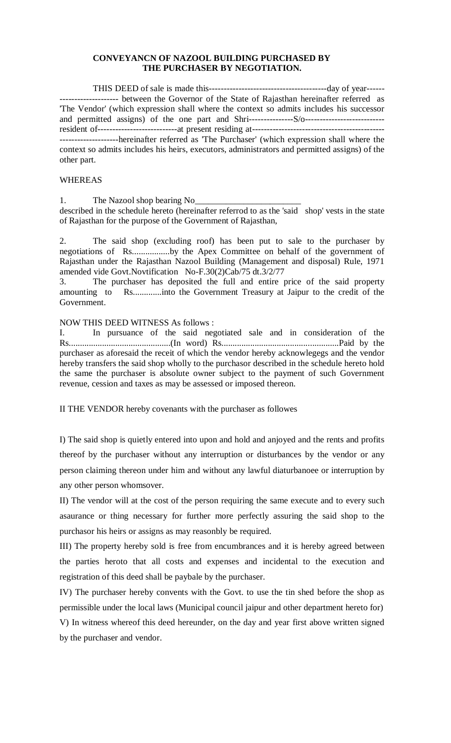#### **CONVEYANCN OF NAZOOL BUILDING PURCHASED BY THE PURCHASER BY NEGOTIATION.**

THIS DEED of sale is made this----------------------------------------day of year------ -------------------- between the Governor of the State of Rajasthan hereinafter referred as 'The Vendor' (which expression shall where the context so admits includes his successor and permitted assigns) of the one part and Shri---------------S/o-------------------------- resident of---------------------------at present residing at--------------------------------------------- --------------------hereinafter referred as 'The Purchaser' (which expression shall where the context so admits includes his heirs, executors, administrators and permitted assigns) of the other part.

#### WHEREAS

1. The Nazool shop bearing No

described in the schedule hereto (hereinafter referrod to as the 'said shop' vests in the state of Rajasthan for the purpose of the Government of Rajasthan,

2. The said shop (excluding roof) has been put to sale to the purchaser by negotiations of Rs.................by the Apex Committee on behalf of the government of Rajasthan under the Rajasthan Nazool Building (Management and disposal) Rule, 1971 amended vide Govt.Novtification No-F.30(2)Cab/75 dt.3/2/77

3. The purchaser has deposited the full and entire price of the said property amounting to Rs.............into the Government Treasury at Jaipur to the credit of the Government.

#### NOW THIS DEED WITNESS As follows :

I. In pursuance of the said negotiated sale and in consideration of the Rs..............................................(In word) Rs.....................................................Paid by the purchaser as aforesaid the receit of which the vendor hereby acknowlegegs and the vendor hereby transfers the said shop wholly to the purchasor described in the schedule hereto hold the same the purchaser is absolute owner subject to the payment of such Government revenue, cession and taxes as may be assessed or imposed thereon.

II THE VENDOR hereby covenants with the purchaser as followes

I) The said shop is quietly entered into upon and hold and anjoyed and the rents and profits thereof by the purchaser without any interruption or disturbances by the vendor or any person claiming thereon under him and without any lawful diaturbanoee or interruption by any other person whomsover.

II) The vendor will at the cost of the person requiring the same execute and to every such asaurance or thing necessary for further more perfectly assuring the said shop to the purchasor his heirs or assigns as may reasonbly be required.

III) The property hereby sold is free from encumbrances and it is hereby agreed between the parties heroto that all costs and expenses and incidental to the execution and registration of this deed shall be paybale by the purchaser.

IV) The purchaser hereby convents with the Govt. to use the tin shed before the shop as permissible under the local laws (Municipal council jaipur and other department hereto for) V) In witness whereof this deed hereunder, on the day and year first above written signed by the purchaser and vendor.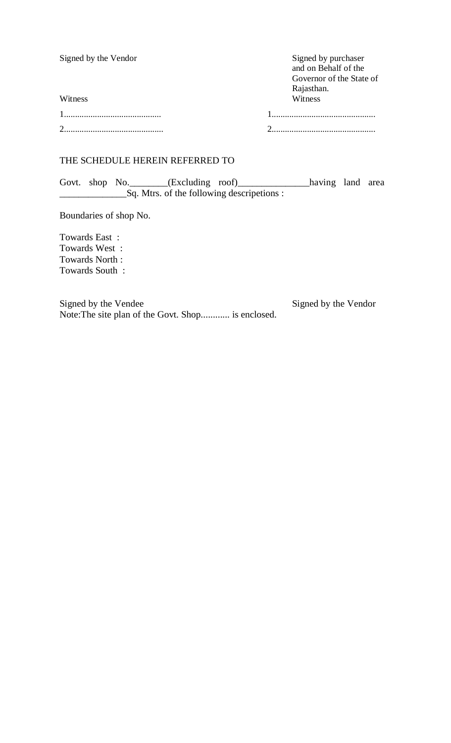| Signed by the Vendor | Signed by purchaser<br>and on Behalf of the<br>Governor of the State of<br>Rajasthan. |
|----------------------|---------------------------------------------------------------------------------------|
| Witness              | Witness                                                                               |
|                      |                                                                                       |
|                      |                                                                                       |

### THE SCHEDULE HEREIN REFERRED TO

Govt. shop No.\_\_\_\_\_\_\_(Excluding roof)\_\_\_\_\_\_\_\_\_\_\_\_\_\_\_having land area \_\_\_\_\_\_\_\_\_\_\_\_\_\_Sq. Mtrs. of the following descripetions :

Boundaries of shop No.

Towards East : Towards West : Towards North : Towards South :

Signed by the Vendee Signed by the Vendor Note:The site plan of the Govt. Shop............ is enclosed.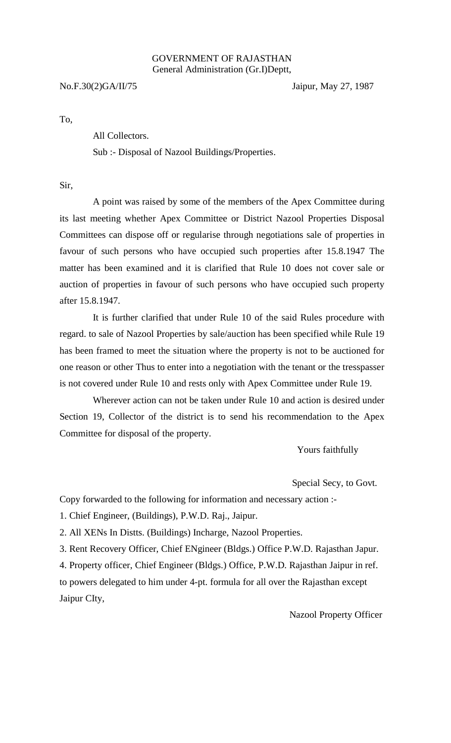#### GOVERNMENT OF RAJASTHAN General Administration (Gr.I)Deptt,

No.F.30(2)GA/II/75 Jaipur, May 27, 1987

To,

All Collectors.

Sub :- Disposal of Nazool Buildings/Properties.

Sir,

A point was raised by some of the members of the Apex Committee during its last meeting whether Apex Committee or District Nazool Properties Disposal Committees can dispose off or regularise through negotiations sale of properties in favour of such persons who have occupied such properties after 15.8.1947 The matter has been examined and it is clarified that Rule 10 does not cover sale or auction of properties in favour of such persons who have occupied such property after 15.8.1947.

It is further clarified that under Rule 10 of the said Rules procedure with regard. to sale of Nazool Properties by sale/auction has been specified while Rule 19 has been framed to meet the situation where the property is not to be auctioned for one reason or other Thus to enter into a negotiation with the tenant or the tresspasser is not covered under Rule 10 and rests only with Apex Committee under Rule 19.

Wherever action can not be taken under Rule 10 and action is desired under Section 19, Collector of the district is to send his recommendation to the Apex Committee for disposal of the property.

Yours faithfully

Special Secy, to Govt.

Copy forwarded to the following for information and necessary action :-

1. Chief Engineer, (Buildings), P.W.D. Raj., Jaipur.

2. All XENs In Distts. (Buildings) Incharge, Nazool Properties.

3. Rent Recovery Officer, Chief ENgineer (Bldgs.) Office P.W.D. Rajasthan Japur.

4. Property officer, Chief Engineer (Bldgs.) Office, P.W.D. Rajasthan Jaipur in ref.

to powers delegated to him under 4-pt. formula for all over the Rajasthan except Jaipur CIty,

Nazool Property Officer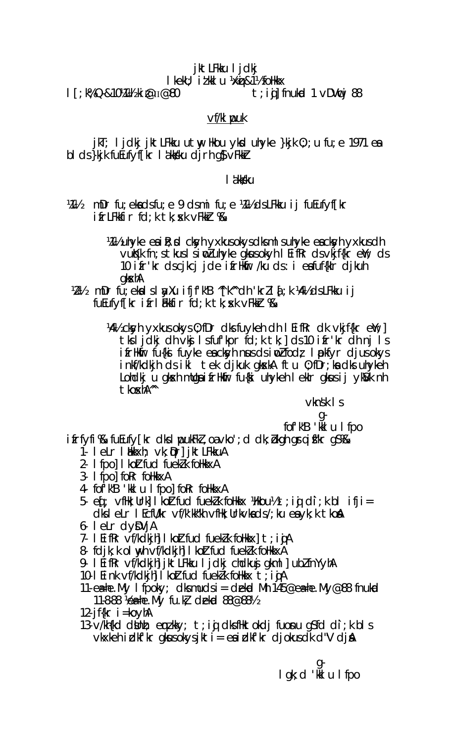# jktLFkku ljdkj

I kekU; it kk I u 1 kk j & 1 1/2 follkk x

Т; К% Q-&10¼1¼ ki @п@80

t; iqj fnukod 1  $\vee$ DVncj 88

# $Vf/k$  puk

jkT; ljdkj jktLFkku utwy Hkou ykd uhyke }kjk 0;; u fu; e 1971 ea bi ds}kjk fuEufyf[kr i åkksku djrh g\$vFkkir

### l akksku

 $M\%$ mDr fu; ekadsfu; e 9 dsmi fu; e ¼½ dsLFkku ij fuEufyf[kr  $i$  fr $L$ Fkkfir f $d$ ; k tk; sk vFkk $r$  % k

> M<sub>1</sub>% uhyke ea i R; **pd** ckyh yxkus okys dks m I s uhyke ea ckyh yxkus dh vukk fn; stkus I sind uhyke gkusokyh I EifRr ds vkjf{kr eW; ds 10 ifr'kr dscjkcj jde ifrHkir /ku ds: i eafuf{klr djkuh qkxhA

- mDr fu; ekal slayXu ifjf'k"B "[k" dh 'krll  $\bar{a}$ ; k ¼ % ds LFkku ij V2V2 fuEufyffkr ifrlækfir fd;k tk; sk vFkkr %&
	- 141/2 ckyh yxkus okys 0; fDr dks fuykeh dh I EifRr dk vkjf{kr e); 1 tksljdkj dh vkj Isfufkpr fd;k tk;] ds 10 ifr'kr dh nj Is ifriktir fu{ki fuyke eackyh nusdsinozifodz Inplifyr djusokys inkf/kdkjh ds ikl tek djkuk gkskA ftu 0;fDr;ka dks uhykeh Lohdkju gkskh mllga i friktir fu{ki uhykeh I ekir gkus i jykS/k nh tkoxh<sup>m</sup>

 $v$ knsk  $\mathsf{I}$  s

# fof'k"B 'kkI u I fpo

 $i$  frfyfi  $\&$  fu $E$ ufy $\lceil kr \rceil$ dks I pouk $F$ k $\iota$ , oa $\vee$ ko'; d dk;  $\iota$ kgh gr $\iota$  i f'kr g $\iota\%$ 

- 1. leLr l bkkxh; vk; Dr] jktLFkkuA
- 2- I fpol I kolt fud fuekl k follkkxA
- 3- I fpol for follkkxA
- 4- fof k"B 'kkl u I fpol for folkkxA
- 5.  $\text{ef}$ ;  $\vee$ filk; Urk] I koztfud fuekzk folikkx ) k kou ½ t; i q di; k b l i fji =  $dk$  elm let  $\ell$  for  $k$  and  $k$  is  $k$  and  $k$  is  $k$  and  $k$  is  $k$  and  $k$  is  $k$  and  $k$  is  $k$  and  $k$  is  $k$  and  $k$  is  $k$  and  $k$  is  $k$  and  $k$  is  $k$  is  $k$  and  $k$  is  $k$  is  $k$  is  $k$  is  $k$  is  $k$  is  $k$  is
- 6- letr dyDVjA
- 7. I EifRr vf/kdkjh I koltfud fuekk follkkx t; i jA
- 8 fdjk; k ol myh vf/kdkjh I koltfud fuekl k follkkxA
- 9. I EifRr vf/kdkjh] jktLFkku I jdkj chdkuj gkml] ubłfnYyhA
- 10 I Eink vf/kdkjh I koltfud fueklk folkkx t; i jA
- 11-  $e\neq$ he. My Ifpoky; dksmudsi = dekod Mh 145@e $\neq$ he. My@88 fnukod 11-8-88 Vea-he. My fu.kl dekid 88@881/2
- 12-jf $\{kr \mid = koyhA$
- 13. v/kh{kd dbhh; emzkky; t;iqi dksfHktokdj fuonu q\$fd di;k bls  $v$ kxkeh idkf'kr gkusokysjkti = ea idkf'kr djokusdk d"V dja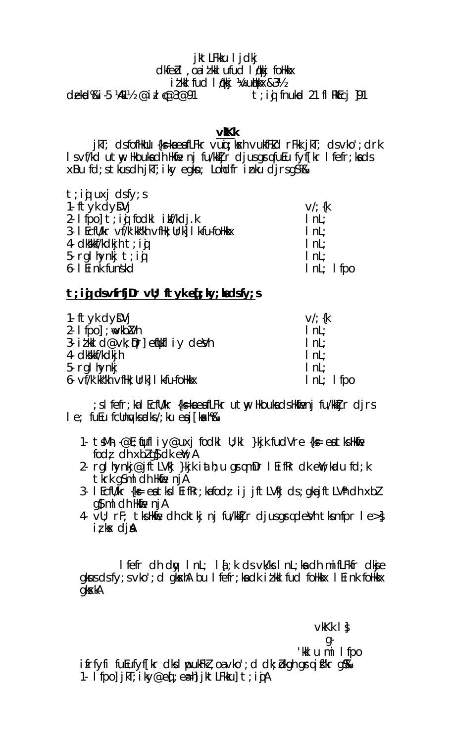### jktLFkku I jdkj dkfed, oa it kkl ufud løkkj folkkx itkI fud I økkj ¼vu@kkx&3½

dekd%i-5 ¼1½ @ill (@3@91  $t$ ; in frukod 21 fl RkEcj  $|91|$ 

**vKk** 

 $j$  kT; ds foffkUu {k=kaeafLFkr vuq; kxh vukfFkd rFkk  $j$  kT; ds vko'; drk I s vf/kd utw Hkoukadh Hkme nj fu/kktjr djusgrafuEu fyffkr I fefr; kads xBu fd; stkusdh jkT; iky egkn; Londfr inku djrsgS%&

| $ $ nL;<br>$ $ nL; |               |
|--------------------|---------------|
|                    | $InL$ ; I fpo |

# $t$ ; ig dsvfrfj $Dr$  vU; ftyke $j$ ; ky; kadsfy; s

| 1- ftyk dyDVj                          | $V'/\$ {k     |
|----------------------------------------|---------------|
| 2- $1$ fpo $\}$ ; wwkb $2$ Mh          | InL           |
| 3. itkild@vk; pr] enkiliy devh         | lnL           |
| 4- dkkkf/kdkjh                         | InL           |
| 5- rgl hynkj                           | $ $ nL;       |
| 6- vf/k'kk"kh vfHk; Urk] I k-fu-foHkkx | $Int$ ; I fpo |

; s I fefr; ka I EcfU/kr {k=kaeafLFkr utw; HkoukadsHkfienj fu/kkIjr djrs  $1e$ ; fueu fcllnyds rdks /; ku ea j [kakh $\%$ 

- 1. tsMh, @E; fufl iy@uxj fodkl U; kl }kjk fudVre {k = eatks Hkfie fodz dh xbl q $\delta$  dk e $\gamma$  ; A
- 2- rgl hynkj@jftLVkj }kjk iath; u grqmDr l EifRr dk eW; kodu fd; k tkrk q\$ml dh Hkfie njA
- 3. I EcfU/kr  $\{k = e \in I \mid \text{Rer} \text{ is } i \in I \}$  ij jft LV $k$ j ds; qka jft LV $\hbar$  dh xbl  $q$ s m ch Horie  $n$ i A
- 4  $\overline{v}$ U; rF; tks Hkne dh cktkj nj fu/kkijr djus gradevh tks mfpr le>  $i \, \zeta$  kx  $\,$  dj  $\theta$

l fefr dh dw I nL; I q ; k ds vk/ks I nL; ka dh mifLFkfr dkje gkus ds fy; s vko'; d gk $x$ hA bu I fefr; ka dk i t kkl fud follkk $x$  I Eink follkk $x$ qkxkA

 $v$ k $Kk$   $\vert \cdot \vert$ g-'klumilfpo ifrfyfi fuEufyf[kr dks I pukFkl, oa vko'; d dk; bkgh graifkr g%k 1 Ifpo]jkT;iky@eq[;ea=h]jktLFkku]t;iqjA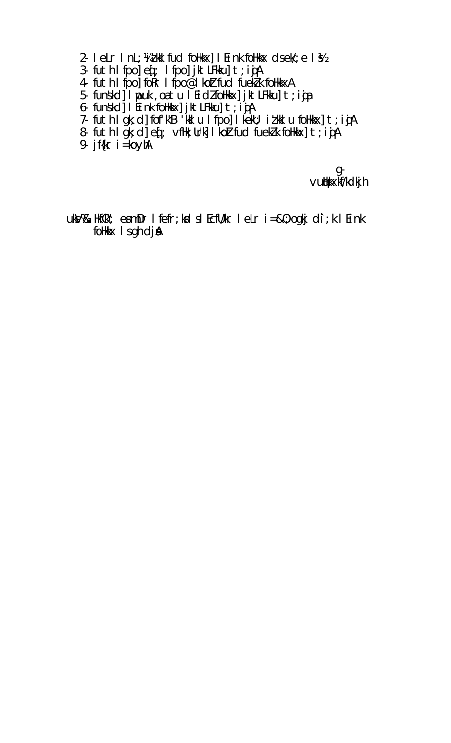- 2. letr Int; Vatkulfud folkkx] I Eink folkkx dsek'; e I \$2
- 3- futh I fpo] eq : I fpo] jktLFkku] t; igA
- 4 futh I fpo] for I fpo@I koltfud fueklk follkkxA
- 5- funskol I pouk, oa tu I Ei dz folkkx | jktLFkku | t; i ja
- 
- 6- funskol I Eink folkkx] jktLFkku] t; ijA<br>7- futh I gk; d] fof'k"B 'kkl u I fpo] I kekU; iłkkl u folkkx] t; ijA
- 8 futh I gk; d] eq; vfHk; Urk] I koltfud fueklk foHkkx] t; i jA
- 9-  $jf{kr}$  i = koyh $A$

g-<br>vutkkxkf/kdkjh

uks/%& Hkf0k"; eamDr I fefr; ka I s I EcfU/kr I eLr i=&0; ogkj di; k I Eink follkkx I s gh dj &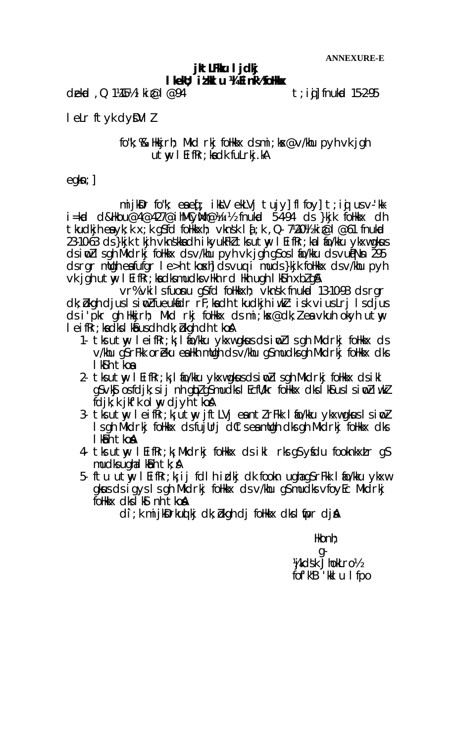### jkt LFKu ljdkj I kell; it kl u 14 E ink<sup>1</sup>/2 folkkx

dekid, Q 1¼5½ ki $\omega$ l  $\omega$ 94

 $t$ ; i $\boldsymbol{\mathfrak{g}}$ ] fnukod 15-2-95

I elr ftyk dyDVII

### fo"k; %& Hkkirh; Mkd rkj follkkx dsmi; kx@v/khu pyh yk jqh  $utw$  I EifRr; kadk fulrkj.kA

 $eqkn;$ 

mijk $\delta$ r fo"k; eaed; ikk $V$  ekl $V$ i tuj $V$ | flfo $V$ | t; id usv $V$ -'kki=kod d&Hkou@4@427@ihMCyMh@¼II½ fnukod 5-4-94 ds }kjk foHkkx dh tkudkih enyk; k x; k q\$fd folikkxh; vknsk l  $\delta$ ; k , Q 7½0½ ki @l @61 fnukd 23-10-63 ds }kik tkih vknskka dh ikvukFkl tks utw I EifRr; ka I fio/kku vkxw gkus dsimullsgh Mkdrkj follkkx dsv/khu pyh vk jgh gSosl fo/kku dsvuigNn 295 dsrar mügh exfutar I e>h tkoxh dsvug i muds}kik folkkx dsv/khu pyh vk jgh utwy I EifRr; kadksmudksvHkh rd Hkh ugh I ksh xbl q&

vr% vkilsfuonu g\$fd follkkxh; vknsk fnukud 13-10-93 dsrgr dk; bkgh djus I simp? fueukfidr rF; kadh tkudkjh iwk?: isk vius Lrj I sdjus ds i'pkr gh Hikijrh; Mikd rkj follikx ds mi;kx@dk;leavkuh okyh utwy I eifkr; kadks I ka us dh dk; bkgh dh t ko A

- 1. tks utwy leifRr;k; lifo/kku ykxwgkusdsimollsgh Mkdrkj follkkx ds v/khu qs rFkk oreku ealkh mugh ds v/khu qs mudks gh Mkdrkj folkkx dks I k**s** h tkoa
- 2. tksutny léifRr;k; lío/kku ykxwgkusdsinollsgh Mkdrkj follkkx dsikl g\$∨k§ osfdjk;sij nh gkpZgŠmudksIEcfU/kr foHkkx dksĪk\$usIsinoZiwkZ fdik: k ikf'k olw diyh tkoA
- 3. tks utwy leifRr; k; utwy jftLVj eantlrFkk lao/kku ykxwgkus lsionl Is ah Mkdrkj follkkx dsfujllrj dCts ea mllah dks ah Mkdrkj follkkx dks I kant koa
- 4 tks utwy leifRr;k; Mkdrkj follkkx ds ikl rks q\$ yfdu fooknkxLr q\$ mudks ughal k $\delta$ h tk;  $\delta$
- 5. ftu utwy leifRr; k; ij fdlh idkj dk fookn ughag SrFkk lafo/kku ykxw gkus ds i gys I s gh Mkdrkj follkkx ds v/khu g\$ mudks vfoyEc Mkdrkj follkix dks I k**s** nh t ko**a**

di; k mijkDrkud kj dk; bkgh dj folkkx dks I fipr djA

 $Hk$ onh;

g-Vikdsk JhokLro½ fof'k"B 'kkl u I fpo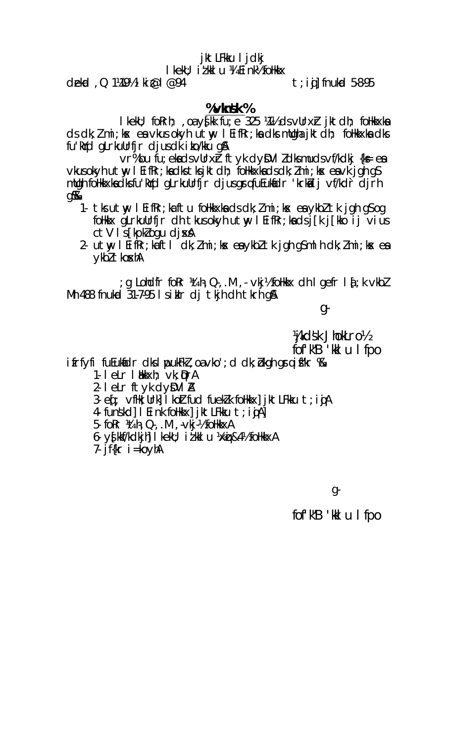# jktLFkku ljdkj

I kekU; i t kk I u ¼ E i nk½ follkkx

 $del$ ad , Q 1¼9½ | ki $\varnothing$ |  $\varnothing$ 94

 $t$ ; i.j. fnukod 5-8-95

# % $v$ knsk %

I kekU; foRrh; , oa y{kk fu; e 325 ¼½ ds vUrx} jktdh; foHkkxka ds dk; *l* mi; kx ea vkus okyh utw, I EifRr; ka dks mUgha jktdh; foHkkxka dks fu'kid gLrkullrfjr djusdk i ko/kku g&

vr%bu fu; ekadsvllrxr ftyk dyDVIIdksmudsvf/kdkj {k= ea vkusokyh utwy I EifRr; kadkstksjktdh; follkkxkadsdk; Zmi; kx eavk jgh qS mllgh follkkxka dksfu'kYd gLrkullrfjr djusgrqfuEukfidr 'krkii i jvf/kdr djrh g‰

- 1- tks utwy I Eifkr; ka ftu follkkxka ds dk; l mi; kx ea ykbl tk jgh gS og follk x glrkullrfjr dh tkusokyh utw leif Rr; ka dsj [k j [kko ij vius  $ctV$  Is [kpk] ogu dj $xA$
- 2. utw lEifRr;kaftl dk; Zmi;kx eaykbZtk jgh qSmlh dk; Zmi;kx ea ykbl tkoshA

g Lohdfr for Kith, Q., M, Vkj½ folkkx dh I gefr I {; k vkbl; Mh 488 fnukud 31–7–95 Isiklr dj tkjh dh tkrh g&

g-

Vjkdsk JhokLro½

fof'k"B 'kkl u I fpo

 $i$  frfyfi fu $i$ ukidr dks I puk $i$ k $l$ , oa vko'; d dk; b $k$ gh gr $j$  i f $k$ r  $\%$ 

- 1- I eLr I Mkxh; vk; QrA
- $2 1$  elm ftyk dy $DVI$  A
- 3. eq ; vflk; Urk] I koltfud fueklk follkkx] jktLFkku t; i g A
- 4 funskd] I Eink follkkx] jktLFkku t;iġA]
- 5- for lith, Q-, .M , -vkj-1/2 follkkxA
- 6- yfklf/kdkjh| I kelu; i i kkl u ½xij &4½ follkkxA
- 7- jf $\{kr \mid = koyhA$

 $g$ 

fof'k"B 'kkl u I fpo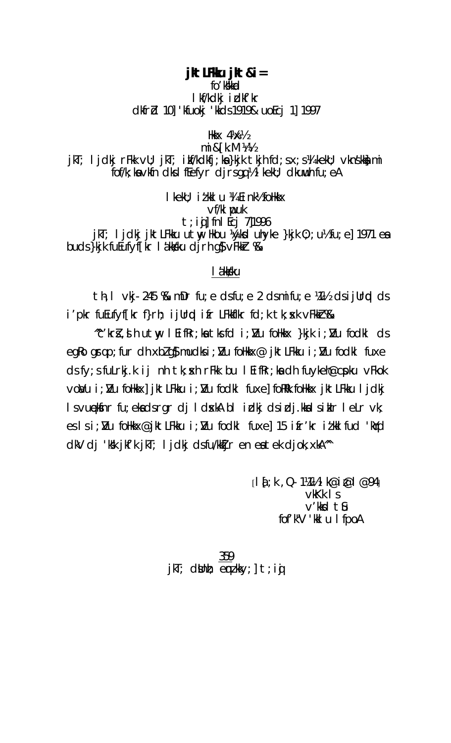### jkt LFKu jkt &i=

fo' kkkad

# I kf/kdkj i dkf'kr dkfrd 10] 'kfuokj 'kkds 1919& uoEcj 1] 1997

Hkk $\times$  4½ $\times$ 

 $mi &$   $k$   $N$   $4\frac{1}{2}$ jkT; ljdkj rFkk vU; jkT; ikf/kdkfj;ka}kjk tkjhfd;sx;s¼kekU; vknskka mi fof/k; ka vkfn dks I f $E$ efyr djrsgq ½ I kekU; dku uuh fu; eA

I kekU; i t kk I u ¼ E i nk½ follkkx  $Vf/k$  wuk  $t$ ; i $j$ ] fnl Ecj 7]1996 jkT; ljdkj jktLFkku utwy Hkou ¼ykd uhyke }kjk 0; ;u½fu;e] 1971 ea buds}kjk fuEufyf[kr lákkku djrh q\$ vFkkr %

### l ákksku

th, I vkj 245 % mDr fu; e dsfu; e 2 dsmifu; e ¼ % dsijUrd ds i'pkr fuEufyf[kr f}rh; ijUrqd ifr LFkkflkr fd;k tk;skk vFkkr%&

~c'kr}, i h utw, l EifRr; ka tks fd i; Nu foHkkx }kjk i; Nu fodkl ds egko grqp;fur dh xblg\$ mudksi; Nu foHkkx@ jktLFkku i; Nu fodkl fuxe  $ds f y$ ; s fulrkj.k ij nh tk; skh r $F$ kk bu l EifRr; ka dh fu $y$ keh@c $p$ ku  $v$ Fkok vor/u i; I/u follkkx] jktLFkku i; I/u fodkl fuxe] forRk follkkx jktLFkku ljdkj I svunekfinr fu; ekadsrgr dj I dxkA bl i dkj dsidj.kkalsiklr leLr vk; eslsi; Nu follkkx@jktLFkku i; Nu fodkl fuxe] 15 ifr'kr itklfud 'kYd dkV dj 'kk jkf'k jkT; ljdkj dsfu/kktjr en eatek djok, xkA<sup>n</sup>

> $[14:k, Q. 1Mh1k@i@l@94]$  $v$ <sub>K</sub> $k$  | s  $V'$ kkd  $t$   $\iota$ fof'k"V 'kkl u I fpoA

359  $jkT$ ; dboh; enzkky;  $t$ ; ig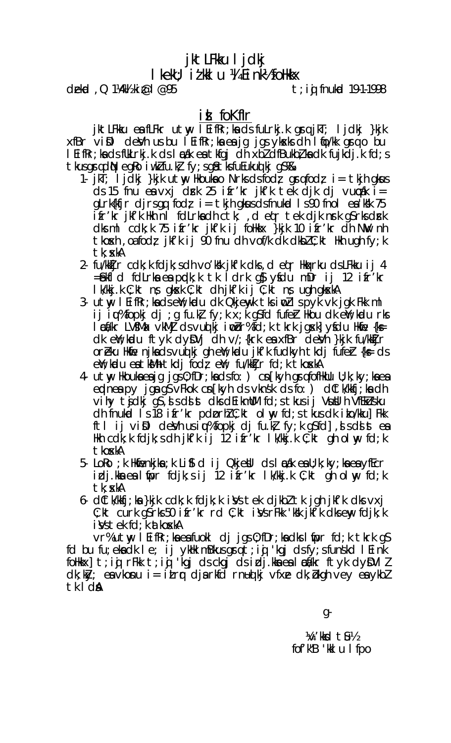# jktLFkku I jdkj  $\mathsf I$  kek $\mathsf U$ : i  $\mathcal I$  kk $\mathsf I$   $\mathsf U$   $\mathcal A$   $\mathsf E$  i nk $\mathcal V$  follkk $\mathsf X$

dekid,  $Q_1$ 1/4/4 ki $\lbrack \emptyset \rbrack$   $\lbrack \emptyset \rbrack$   $\lbrack \emptyset \rbrack$ 

 $t$ ; ig fnukod 19-1-1998

# id fokflr

jktLFkku ea fLFkr utw, lEifRr;ka ds fuLrkj.k grq jkT; ljdkj }kjk xfBr viDl deVh us bu leifkr; ka ea jg jgs yksk dh lito/kk grio bu I EifRr; ka ds fUkLrkj.k ds I æak ea tkfgj dh xbl dfBukbl ka dk fujkdj.k fd; s tkusgradN egko iwklfu.kł fy; sg& tksfuEukud kj gS%&

- 1.  $jkT$ ; ljdkj }kjk utwy Hkouka o Nrks dsfodz grafodz i= tkjh gkus ds 15 fnu ea vxj drk 25 ifr'kr jkf'k tek djk dj vurak i=  $gLrk{fif r \, dj rs gq \, fodz \, i = tkjh gktus dsfnuktal \, l s90 fnol \, ea'Klk \, 75$ ifr'kr jkf'k Hkh ni fdLrkadh ctk, deqr tek djk nrk gSrksdrk<br>dksml cdk;k 75 ifr'kr jkf'k ij folkkx }kjk 10 ifr'kr dh NW nh the theory case of  $\mathbf{C}$  is  $\mathbf{C}$  is  $\mathbf{C}$  is  $\mathbf{C}$  is  $\mathbf{C}$  is  $\mathbf{C}$  is  $\mathbf{C}$  is  $\mathbf{C}$  is  $\mathbf{C}$  is  $\mathbf{C}$  is  $\mathbf{C}$  is  $\mathbf{C}$  is  $\mathbf{C}$  is  $\mathbf{C}$  is  $\mathbf{C}$  is  $\mathbf{C}$  is  $\mathbf{C}$  i tk: xkA
- 2- fu/kkijr cdk; k fdjk; sdh vo'k'sk jkf'k dks, d egr Hkaxrku dsLFkku ij 4 =£xhid fdLrka ea ppdk; k tk idrk g} yfdu mDr ij 12 ifr'kr I k/kkj.k C; kt ns qksk C; kt dhjkf'k ij C; kt ns ughqkskA
- 3- utw l EifRr; ka ds ew; kadu dk Qkjewyk tks iwd Ispyk vk jgk Fkk ml ij iu, "fopkj dj ; g fu.k, fy; k x; k g\$fd fufer Hkou dk e Y; kudu rks let/kr LVSMax vkMj ds vud kj i obr%fd; k tkrk jgskl ysdu Hklie {k= dk e¥;kadu ftyk dyΩVj dh v/;{krk eæxfBr deVh }kjk fu/kkIjr oreku Hkie njkadsvuq kj gh ell; kolu jkf'k fudkyh tkdj fufer {k= ds eW; kudu eatkMhtkdj fod; eW; fu/kkIjrfd;k tkoskA
- 4. utw Hkouka eajg jgs 0; fDr; ka ds fo: ) cn[kyh grq fofHkUu U; k; ky; ka ea endnes py jgs gs vFkok cn [kyh ds vknsk ds fo: ) dCtk/kkfj; ks dh vi hy tjdkj gs, i s di st dks dei kmllM fd; s tkus i j Vsubl h VfEkLusku  $dh$  fnukud 1 s 18 if r'k pd or h $l$  C; k t ollay fd; s t kus dk i ko/kku] Fkk ftl ij vill dev'h usiqu% fopkj dj fu.k, fy; k g\$fd], si ds st ea Hkh cdk;k fdjk;sdhjkf'k ij 12 ifr'kr lk/kkj.k C;kt gholny fd;k tkoxkA
- 5. LoRo ; k Hkijenkjka ; k Liji d i j Qkjevil ds l cak ea U; k; ky; ka ea yfEcr idj.kka ea lifpr fdjk;sij 12 ifr'kr lk/kkj.k C;kt qh olny fd;k tk: xkA
- 6. dCtk/kkfj;ka }kjk cdk;k fdjk;k iVs tek djkbl tk jgh jkf'k dksvxj  $C$ ; kt curk q $S$ rks 50 ifr'kr rd  $C$ ; kt i $\mathcal{Y}$ s r $F$ kk 'k $\mathcal{Y}$ k if'k d $\mathcal{Y}$ s eny fdjk; k i Vs tek fd; k at koskA

vr%utw, I EifRr;kaeafuokI dj jgs 0;fDr;kadks I fipr fd;k tkrk gS fd bu fu; ekadk le; ij ykHk mBkusgrq t; ij 'kgj dsfy; sfunskd l Eink follkkx] t; ig rFkk t; ig 'kgj ds ckgj ds idj.kka ea l navkr ftyk dyn VII  $dk$ ; k $k$ y; ea vkonu i = i Lrr dja rkfd rnud kj vfxe dk; bkgh vey ea ykbl tk I da

g-

 $\mathcal{W}'$  kksd tills fof'k"B 'kkl u I fpo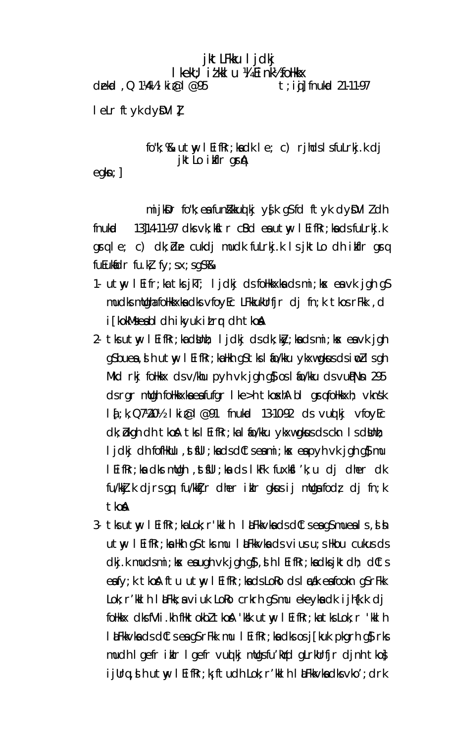# jktLFkku ljdkj I kekU; i z kkI u ¼ E i nk½ foHkkx

dekd , Q 1¼1/2 | ki@ | @95  $t$ ; iij fnukod 21-11-97

leLr ftyk dyDVI!

# fo"k; %& utwy I EifRr; kadk I e; c) rjhds I sfuLrkj.k dj jktlo ikflr gr**a**

 $egkn;$ ]

mijkDr fo"k; ea funkkluot kj ys[k gS fd ftyk dyDVI l dh fnuko 13]14-11-97 dks vk; kftr cBd eautwy I EifRr; ka ds fuLrkj.k grq le; c) dk; de cukdj mudk fulrkj.k Isjktlo dh ikfir grq fu $E$ uk $E$ dr fu.k $k$  fy; sx; sq $S$ %

- 1. utwy leifr;ka tks jkT; ljckij cJs foHkkxka cJs mi;ksx ea vk jgh gS mudks mllgha folikkxka dks vfoyEc LFkkukUrfjr dj fn;k tkos rFkk, d i [kokMseabl dh ikyuk itrr dh tkon
- 2- tks utwy I EifRr; ka dNhh; I jdkj ds dk; ky; ka ds mi; kx ea vk jgh g\$buea, d h utw l EifRr; ka Hkh g\$tks l fo/kku ykxwgkus ds i w2lsgh Mkd rkj folikix dsv/khu pyh vk jgh g $\frac{1}{2}$  os I fio/kku dsvughNn 295 ds rgr mllgh follkkxka eafufgr I ke>h tkoxhA bI grqfollkkxh; vknsk I { ; k, Q7\20\% I ki @ I @91 fnukcd 13-10-92 ds vuot kj vfoyEc dk; bkgh dh tkon tks I Eifkr; ka I fio/kku ykxwgkus ds ckn I s dilahi; ljdkj dh fofHkUu , st\$Ul ; ka ds dCts ea mi ; kx ea p yh vk jgh q\$ mu I EifRr; ka dks mulgh, st\$UI; ka ds I kFk fuxk\$I 'k; u dj dher dk fu/kkj.k djrsgq fu/kktjr dher iklr gkusij mllgafodz dj fn;k tkon
- 3- tks utwy I EifRr; ka Lok; r'kkl h I al Fkkvka ds dCts ea qS mueals, d b  $utw$  I EifRr; ka Hkh q $s$  tks mu I alfkk $v$ ka ds  $vi$ us u; s Hkou cukus ds dkj.k mudsmi; kx eaugh vk jgh g}, d h l EifRr; kadksjktdh; dCts eafy; k thon ftu utmy l EifRr; kads LoRo ds I cak eafookn qS rFkk  $Lok$ ;  $r'$  kkl h l  $kF$ kk; a  $\vee$  i uk  $Loko$  crkrh q $S$  mu ekeyka dk i jh $\{k,k\}$  dj follkix dksfVIi.kh fliktokbl tkost 'k'k utwy I EifRr;ka tks Lok; r 'kkl h l LaFkkvka ds dCts ea gS rFkk mu l EifRr; ka dks os j[kuk pkgrh g\$rks] mudh I gefr ikir I gefr vud kj milgsfu'kid glrklirfjr djnh tkoj ijUrq, sh utw, I EifRr; kj ftudh Lok; r'kklh I &Fkkvkadksvko'; drk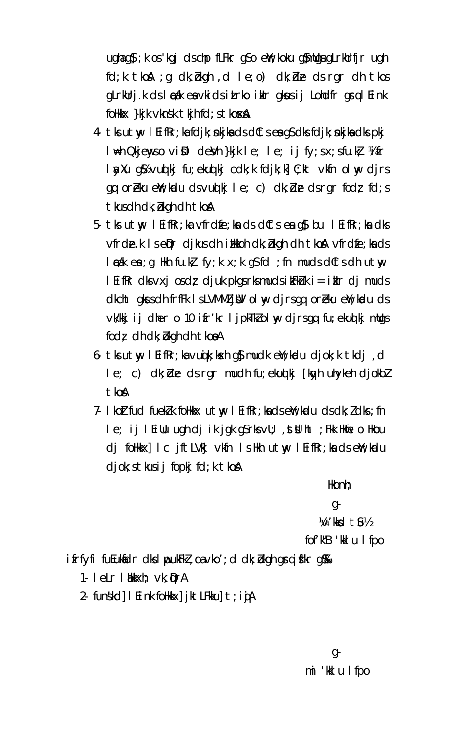$u$ ghag $\mathfrak{g}$ ; k os 'kgj clschp fLFkr g $\mathfrak{so}$  eW; koku g $\mathfrak{g}$ mllgagLrkUrfjr ugh fd; k tkok ; g dk; bkgh , d l e; o) dk; ble ds rgr dh tkos gLrkUrj.k ds læak en vkids itrko iklr gkus i jLohdfr gra l Eink follkkx }kjk vknsk tkjh fd; s tkoxA

- 4 tks utw I EifRr; ka fdjk; nkjka ds dCts ea qS dks fdjk; nkjka dks pkj I \the Qkjenyso vi\$l deVh }kjk le; le; ij fy;sx;sfu.k} ¼i fr layXu q\$z vuolki fu; ekuolki cdk; k fdik; k c; kt vkfn olny dirs  $gg$  or beku eW; kudu ds vuot kj le; c) dk; db ds rg r fodz fd; s tkus dh dk; bkgh dh tkoA
- 5- tks utwy I EifRr; ka vfrdfe; ka ds dCts ea g\$ bu I EifRr; ka dks vfrde.k Is epr djkus dh illkoh dk; bkgh dh tkoh vfrdfe; ka ds  $l$   $\epsilon$  as  $l$   $\epsilon$  as  $l$   $\epsilon$  as  $l$  as  $l$   $\epsilon$  as  $l$   $\epsilon$  as  $l$   $\epsilon$  as if  $d$   $\epsilon$  is  $l$  and  $l$  as  $l$  as  $l$  as  $l$  as  $l$  as  $l$  as  $l$  as  $l$  as  $l$  as  $l$  as  $l$  as  $l$  as  $l$  as  $l$  as  $l$  as  $l$  as  $l$  as I EifRr dks  $vxj$  os dz djuk pkgs rks muds i kFkUk i = i klr dj muds dkcht gkus dh frfFk I s LVMMZ j NV ol ny djrsgq or Eku e N; kudu ds vk/kkjij dher o 10 ifr'kr ljpkTklolwy djrsgq fu; ekuqlkj mllgs fodz dh dk; bkgh dh tkoaA
- 6. tks utwy I EifRr; ka vuojk; kosh g} mudk eW; kudu djok; k tkdj, d le; c) dk; de ds rgr mudh fu; ekuq kj [kayh uhykeh djokbl tkoA
- 7- I koltfud fueklk follkkx utw, I EifRr; ka ds eil; kudu ds dk; l dks; fn le; ij leiuu ugh dj ik jgk gsrksvu; , stulht ; Fkk Hknie o Hkou dj follkkx] I c jft LV kj vkfn I sllkh utwy I Eif Rr; ka dse W; kadu  $djok; s$  tkus i j fopkj fd; k tko $A$

Hkonh:

 $q<sub>-</sub>$ 

W'KKd till

fof'k"B 'kkl u I fpo

ifrfyfi fuEuklidr dks I pukFkZ, oa vko'; d dk; bkgh graifkr g

- 1. letr likkxh; vk; QrA
- 2- funskd $\vert$  I Eink folkkx $\vert$  jktLFkku $\vert$  t; in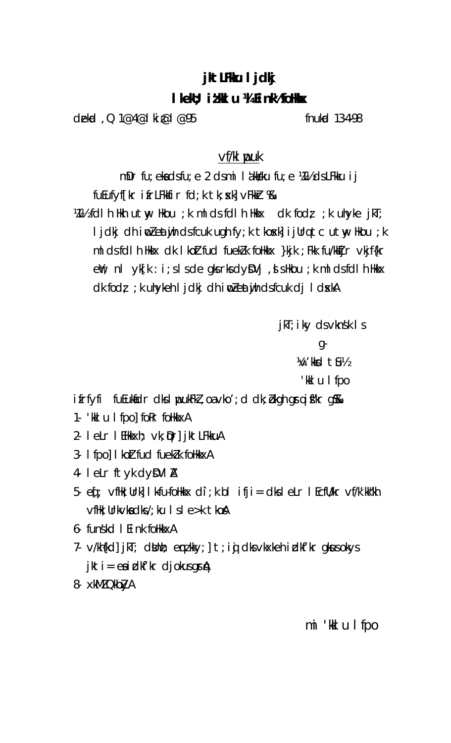# jkt LFKu I jdkj

# I kekU; i z k I u 14 E i nk2foHkx

dekid, Q 1@4@ | ki@ | @95

fnukad 13-4-98

# vf/kl puk

mDr fu; ekadsfu; e 2 dsmi lakkku fu; e ¼½ dsLFkku ij fuEufyf[kr ifrLFkkfir fd;k tk; skl vFkkr %

 $M\%$  foll h Hkh utmy Hkou; k ml ds foll h Hkkx dk fodz; k uhyke jkT; ljdkj dh iwleatijh dsfcuk ugh fy;k tkosk] ijUrq tc utwy Hkou ;k ml ds fdl h Hkkx dk I koltfud fueklk follkkx }kjk ; Fkk fu/kktjr vkjf{kr  $e\mathbf{M}$ ; nl  $\mathbf{y}$ k $[k : i : s]$  s de gks rks d $\mathbf{y}$  $\mathbf{D}$ Vj , is the u ; k ml ds fdl h thkx dk fodz; ; k uhykeh I jdkj dh i w zeatujh dsfcuk dj I d skA

jkT; iky ds vknsk I s

 $q<sub>-</sub>$ 

 $\frac{1}{2}$  / kks  $\frac{1}{2}$  the  $\frac{1}{2}$ 

'kkl u I fpo

 $i$  frfyfi fu $i$ ukidr d $k$ l pu $k$ Fk $i$ , oa $v$ ko'; d d $k$ ;  $b$ kgh gr $q$  i f $k$ r g $\Re$ 

- 1. 'kkl u I fpol for folkkxA
- 2- leLr l EHkkxh; vk; Qr] jktLFkkuA
- 3- I fpo] I kolt fud fuekl k follkkxA
- 4- leLr ftyk dyDVIA
- 5. eq : vflk; Urk] I k-fu-follkkx di; k bl ifji = dks l eLr I EcfU/kr vf/k'kk"kh vfHk; Urkvkadks/; ku Isle>k tkoA
- 6- funskd I Eink follkkxA
- 7- v/kh{kd] jkT; dblnh; emzkky;] t;igi dksvkxkeh idkf'kr gksusokys  $jkt = ea i dkf'kr$  djokus gr $A$
- 8- xkMZ QkbZyA

mi 'kkl u I fpo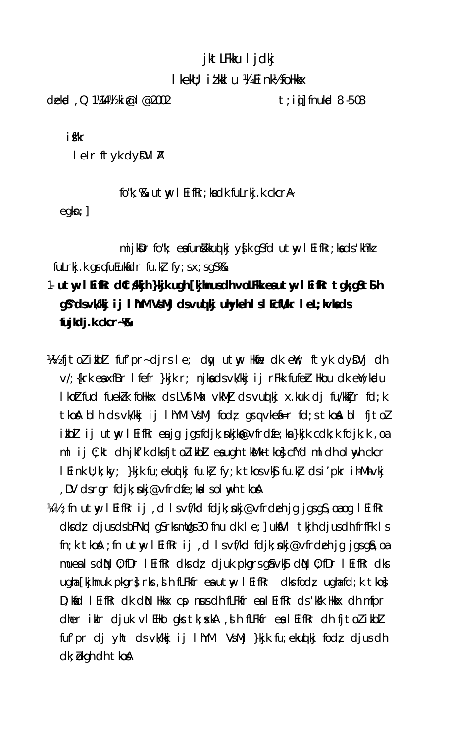# jktLFkku ljdkj

### I kekU; i t kk I u ¼ E i nk½ foHkkx

dekid,  $Q$  1/44/4 ki $\varpi$ l $\varpi$ 2002

 $t$ ; iij fnukod 8  $-5-03$ 

ifkr

letr ftyk dyDVIA

fo"k; %& utwy I EifRr; kadk fuLrkj.k ckcrA

 $egkn;$ ]

mijkDr fo"k; eafunkkud kj ys[k gSfd utw; lEifRr;kads'kh?kz fulrkj.k grafu $E$ ukidr fu.k $E$  fy; sx; sq $S$   $R$ 

# 1- utw l Eifkr dCt skih }kik ugh [kjmusdh voLFkk eautw l Eifkr tgk gStS h g\$ dsvk/kkj ij IhYM VsMj dsvuq kj uhykeh IslEcfU/kr IeL; kvlads fujkcij. $k$  ckcr $\sim$ % $k$

- What it olit bl fut pr- dirs le; day ut w Hafe dk end; ft yk dy DVj dh v/; {krk eaxfBr l fefr }kjk r; njkadsvk/kkj i j rFkk fufer Hkou dk en/; kudu I koltfud fuell k follkkx ds LVf. Max vkMJ ds vuol kj x kuk dj fu/kklijr fd; k tkon blh ds vk/kkj ij lhYM VsMj fodz grq vken=r fd; s tkon bl fj tol ikblijutwy leifkreajgjgsfdjk; nkjko@vfrdfe; ka }kjk cdk; k fdjk; k , oa ml ij C; kt dh jkf'k dksfjtolikbl eaugh tkMk tko} cfYd ml dh ol wyh ckcr I Eink U; k; ky; }kjk fu; ekuq kj fu.k} fy; k tkos vk§ fu.k} ds i'pkr ihMh•vkj , DV dsrgr fdjk; nkj@vfrdfe; kalsolnyhtkoA
- With ; fn utwy leifRr ij, d Isvf/kd fdjk; nkj@vfrdeh jg jgsgS, oa og leifRr  $dk \, dt \, dy$  djus ds bPNpd gS rks mulgs 30 fnu dk le; uks $V1$  tkjh djus dh frfFk ls  $\mathsf{fn}$ ; k tko $\mathsf{A}$ ; fn utwy l Eifkr ij, d l s vf/kd fdjk; nkj@vfrdeh jq jqsq $\mathsf{sa}$ , oa mues I s d $\mathbb N$  0; fDr I EifRr dks dz djuk pkgrs g $\delta \vee \delta$  d $\mathbb N$  0; fDr I EifRr dks ugha [kjhnuk pkgr} rks, sih fLFkfr esutwy lEifRr dksfodz ughafd; k tko} D; Koid I Eifkr dk din Hikkx cp nus dh fLFkfr ea I Eifkr ds 'Kik Hikkx dh mfpr dher ikir djuk vi EHko gks tk; xkA , si h fLFkfr ea l EifRr dh fj tol ikbl fuf'pr dj yht ds vk/kkj ij I hYM VsMj }kjk fu; eku qkj fod; djus dh dk; bkgh dh tkoß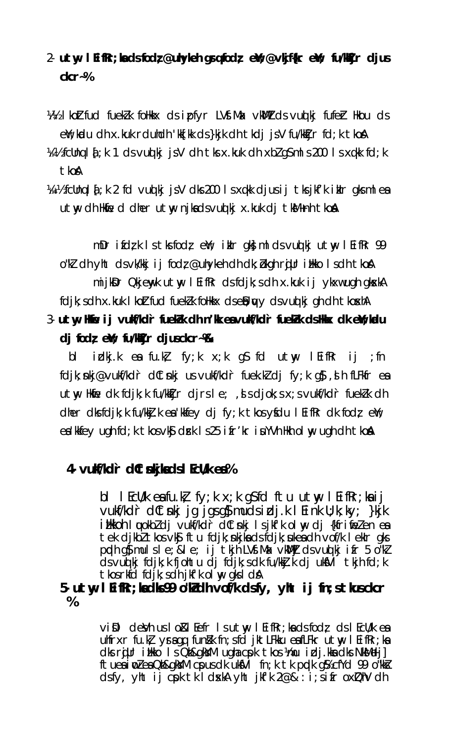# 2  $\cdot$  utw leifkr; kads fodz @uhykeh grq fodz ewt; @vkjf{kr ewt; fu/kKjr djus  $ckcr-%$

- W/2 I kolterud fueklik follkkx ds ipfyr LVf.Max vkMll ds vuolikj fufelt Hikou ds el'; kadu dh x.kuk rduhdh 'kk[kk ds }kjk dh tkdj jsV fu/kkijr fd; k tkoA
- $\frac{1}{2}$  /  $\frac{1}{2}$  fcllnq 1  $\frac{1}{4}$ ; k 1 cls vud kj js V clh tks x.kuk clh xbl qS ml s 200 ls xqkk fcl; k tkoA

Viiil's fcUnq I { ; k 2 fd vuot kj js V dks 200 ls xqkk djus ij tks jkf'k iklr gks ml ea utw dh Hkie d dher utw njkadsvudki x.kuk di tkM+nh tkoA

mDr ifd $\zeta$ k Istksfod $\zeta$  eY; iklr gk $\zeta$  mldsvuolkjutny l $\zeta$ ifi $R$ r 99 o"k] dh yht ds vk/kkj ij fod; @uhykeh dh dk; bkgh rijur illkko Is dh tkoA mijkDr Qkjenyk utny l Eifkr dsfdjk; s dh x.kuk ij ykxw ugh gkskA fdjk; sdh x.kuk I koltfud fueklk follkkx dsell; wy dsvud kj gh dh t koshA 3- utwy Hine ij vulis/kdir fuelkk dh n'kk eavulis/kdir fuelkk dshkkx dk eint;kodu

# $dj$  fodz  $e\mathbf{W}$ ; fu/ $M$ jr djusckcr $\nu$ &

 $b<sup>1</sup>$ idkj.kea fu.kł fy;k x;k q\$ fd utwy lEifkr ij ;fn fdjk; nkj@vukf/kdr dltnkj us vukf/kdr fuek.kldj fy; k q}, sh fLFkfr ea utwy Hkine dk fdjk; k fu/kktjr djrsle; , s djok; s x; s vukf/kdr fueklk dh dher dksfdjk; k fu/kkj.k e: kkfey dj fy; k tkosyfdu l EifRr dk fodz e: k; ea kkfey ugh fd; k tkos vk\$ drk 1 s 25 ifr'kr iuYVh Hkh ol wy ugh dh tkoA

# 4- vulf/kdr dCtskjkads I Ecl/k ea%

bl l $E\subset U/k$  eafu. $k$  fy; k x; k q $S$  fd ftu utmy l $E$ ifRr; ka ij vukf/kdr dltnkj jg jgsgl mudsidj.k l Eink U; k; ky; }kjk i Hkkoh I wokbz cij vukf/kdr dtnkj I sjkfk ol wy cij {kfrimezen ea tek dikbltkos vk\$ ftu fdik; nkika dsfdik; ukea dh vof/k leklr qks poph g} mulsle; & le; ij tkjh LVf.Mx vkWl] dsvuqlkj ifr 5 o''kl dsvuolki fdik; k fiohtu di fdik; s dk fu/kkj. k di uksVI tkih fd; k tkos rkfd fdjk; sdhjkfk olwgksldA

# 5- utw l Eifkr; kadks 99 o'k dh vof/k dsfy, yht ij fn; s t kusckcr  $%$

vill deVh us lo & l Eefr Isutwy I Eifkr; ka ds fodz ds I EcU/k ea ultrxr fu.k yraqq funkk fn; sfd jktLFkku eafLFkr utw I EifRr; ka dks rijur i ilko Is Qh&gkYM ugha cpk tkos ¼mu i dj.kka dks NkMelj] ftues in a ea Qh&gkYM cpus dk uksVI fn; k tk prdk g% cfYd 99 o"kks  $dsfy$ , yht ij cpk tk I dxkA yht jkfk  $2@&:i;s$  ifr  $oxDhV$  dh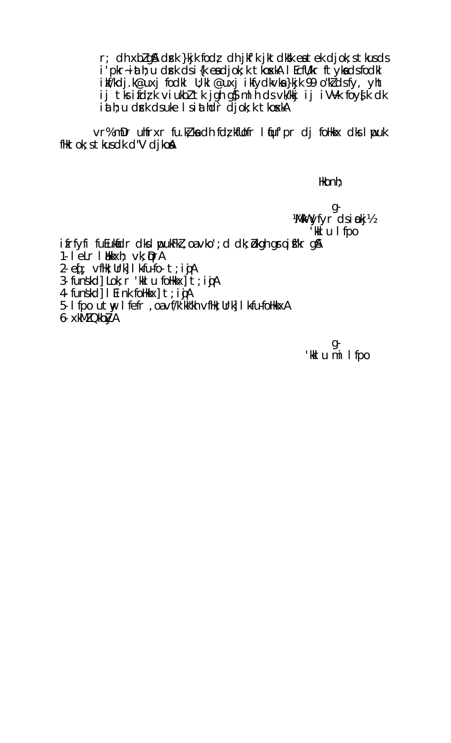r; dh xblg& drk }kjk fod; dh jkf'k jktdkk eatek djok; stkusds i'pkr-iath; u drk ds i {k ea djok; k tkoxkA I EcfU/kr ft yka ds fodkl ikf/kdj.k@uxj fodkl U;kl @uxj ikfydkvka}kjk 99 o"kldsfy, yht ij tks ifdzk viukbz tk jgh g}mlh ds vk/kkj ij iVVk foyslk dk iath; u drk dsuke I siathdr djok; k tkoskA

vr% mDr uhfrxr fu.k, ka dh fd, kfllofr l quf'pr dj folkkx dks l ypuk fHktok; s tkus dk d"V djkoA

Hkonh;

 $g-$ Wikw yfyr dsinokj!/2 'ki u I fpo

ifrfyfi fuEukfidr dks I youkFkl, oa vko'; d dk; bkgh graifkr g &

- 1. letr I bkkxh; vk; QrA
- 2 eq ; vfHk; Urk] I kfu-fo- t; i jA
- 3- funskd] Lok; r 'kkl u follkkx]<sup>"</sup>t; igA
- 4- funskd] I Eink follkkx] t; i jA
- 5- I fpo utw I fefr, oa vf/k'kk"kh vfHk; Urk] I k-fu-foHkkxA
- 6- xkMZ QkbXA

g-'kkl u mi I fpo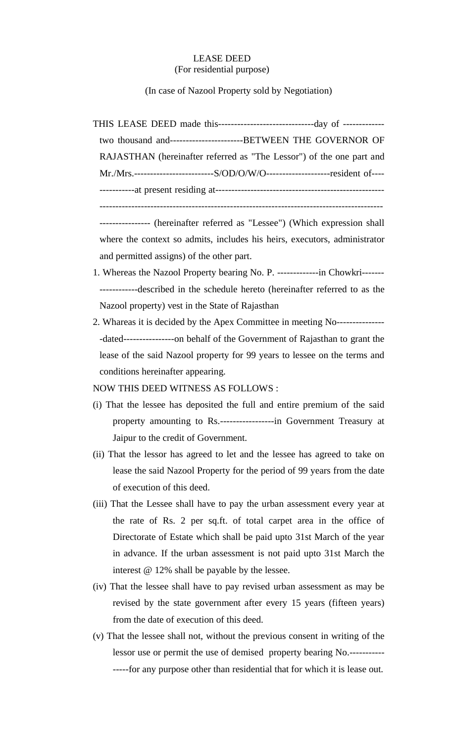#### LEASE DEED (For residential purpose)

(In case of Nazool Property sold by Negotiation)

THIS LEASE DEED made this------------------------------day of ------------ two thousand and-----------------------BETWEEN THE GOVERNOR OF RAJASTHAN (hereinafter referred as "The Lessor") of the one part and Mr./Mrs.-------------------------S/OD/O/W/O--------------------resident of---- -----------at present residing at----------------------------------------------------- -----------------------------------------------------------------------------------------

---------------- (hereinafter referred as "Lessee") (Which expression shall where the context so admits, includes his heirs, executors, administrator and permitted assigns) of the other part.

- 1. Whereas the Nazool Property bearing No. P. -------------in Chowkri------- ------------described in the schedule hereto (hereinafter referred to as the Nazool property) vest in the State of Rajasthan
- 2. Whareas it is decided by the Apex Committee in meeting No--------------- -dated----------------on behalf of the Government of Rajasthan to grant the lease of the said Nazool property for 99 years to lessee on the terms and conditions hereinafter appearing.

NOW THIS DEED WITNESS AS FOLLOWS :

- (i) That the lessee has deposited the full and entire premium of the said property amounting to Rs.-----------------in Government Treasury at Jaipur to the credit of Government.
- (ii) That the lessor has agreed to let and the lessee has agreed to take on lease the said Nazool Property for the period of 99 years from the date of execution of this deed.
- (iii) That the Lessee shall have to pay the urban assessment every year at the rate of Rs. 2 per sq.ft. of total carpet area in the office of Directorate of Estate which shall be paid upto 31st March of the year in advance. If the urban assessment is not paid upto 31st March the interest @ 12% shall be payable by the lessee.
- (iv) That the lessee shall have to pay revised urban assessment as may be revised by the state government after every 15 years (fifteen years) from the date of execution of this deed.
- (v) That the lessee shall not, without the previous consent in writing of the lessor use or permit the use of demised property bearing No.----------- -----for any purpose other than residential that for which it is lease out.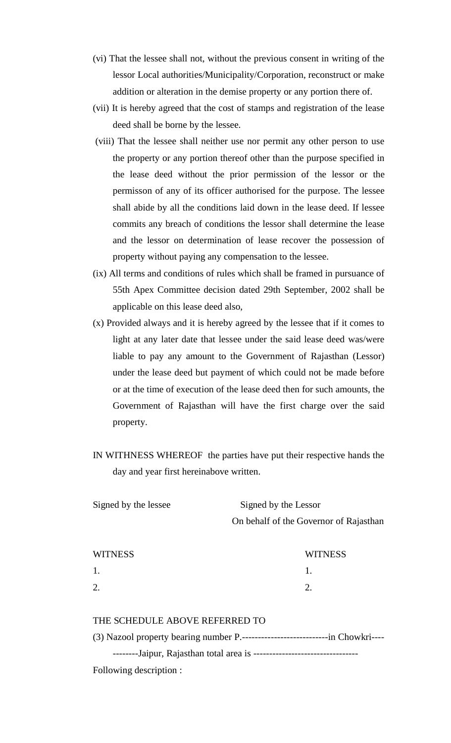- (vi) That the lessee shall not, without the previous consent in writing of the lessor Local authorities/Municipality/Corporation, reconstruct or make addition or alteration in the demise property or any portion there of.
- (vii) It is hereby agreed that the cost of stamps and registration of the lease deed shall be borne by the lessee.
- (viii) That the lessee shall neither use nor permit any other person to use the property or any portion thereof other than the purpose specified in the lease deed without the prior permission of the lessor or the permisson of any of its officer authorised for the purpose. The lessee shall abide by all the conditions laid down in the lease deed. If lessee commits any breach of conditions the lessor shall determine the lease and the lessor on determination of lease recover the possession of property without paying any compensation to the lessee.
- (ix) All terms and conditions of rules which shall be framed in pursuance of 55th Apex Committee decision dated 29th September, 2002 shall be applicable on this lease deed also,
- (x) Provided always and it is hereby agreed by the lessee that if it comes to light at any later date that lessee under the said lease deed was/were liable to pay any amount to the Government of Rajasthan (Lessor) under the lease deed but payment of which could not be made before or at the time of execution of the lease deed then for such amounts, the Government of Rajasthan will have the first charge over the said property.
- IN WITHNESS WHEREOF the parties have put their respective hands the day and year first hereinabove written.

| Signed by the lessee | Signed by the Lessor                   |
|----------------------|----------------------------------------|
|                      | On behalf of the Governor of Rajasthan |

| <b>WITNESS</b> | <b>WITNESS</b> |
|----------------|----------------|
| 1.             |                |
| 2.             |                |

### THE SCHEDULE ABOVE REFERRED TO

| Following description : |  |
|-------------------------|--|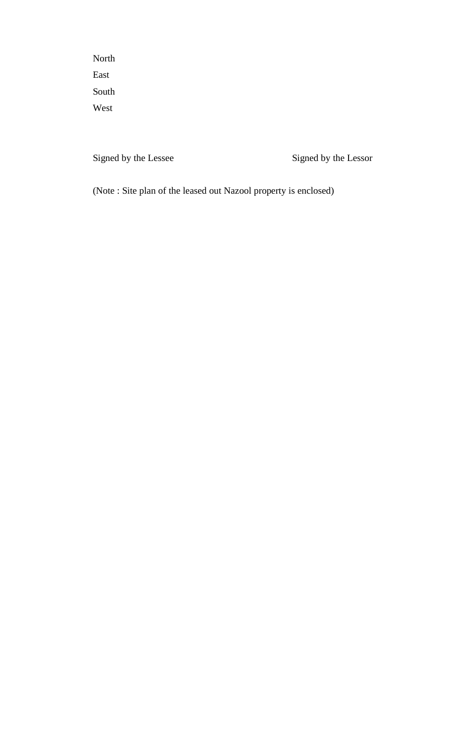North East South West

Signed by the Lessee Signed by the Lessor

(Note : Site plan of the leased out Nazool property is enclosed)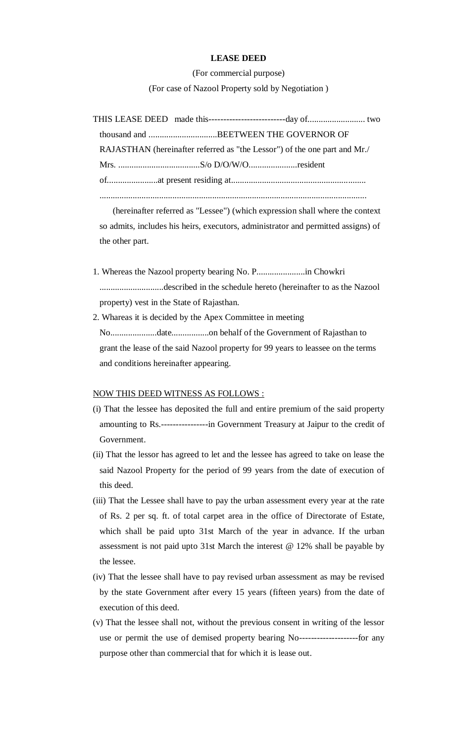#### **LEASE DEED**

(For commercial purpose) (For case of Nazool Property sold by Negotiation )

|  | RAJASTHAN (hereinafter referred as "the Lessor") of the one part and Mr./ |  |
|--|---------------------------------------------------------------------------|--|
|  |                                                                           |  |
|  |                                                                           |  |
|  |                                                                           |  |

 (hereinafter referred as "Lessee") (which expression shall where the context so admits, includes his heirs, executors, administrator and permitted assigns) of the other part.

- 1. Whereas the Nazool property bearing No. P......................in Chowkri .............................described in the schedule hereto (hereinafter to as the Nazool property) vest in the State of Rajasthan.
- 2. Whareas it is decided by the Apex Committee in meeting No.....................date.................on behalf of the Government of Rajasthan to grant the lease of the said Nazool property for 99 years to leassee on the terms and conditions hereinafter appearing.

#### NOW THIS DEED WITNESS AS FOLLOWS :

- (i) That the lessee has deposited the full and entire premium of the said property amounting to Rs.----------------in Government Treasury at Jaipur to the credit of Government.
- (ii) That the lessor has agreed to let and the lessee has agreed to take on lease the said Nazool Property for the period of 99 years from the date of execution of this deed.
- (iii) That the Lessee shall have to pay the urban assessment every year at the rate of Rs. 2 per sq. ft. of total carpet area in the office of Directorate of Estate, which shall be paid upto 31st March of the year in advance. If the urban assessment is not paid upto 31st March the interest @ 12% shall be payable by the lessee.
- (iv) That the lessee shall have to pay revised urban assessment as may be revised by the state Government after every 15 years (fifteen years) from the date of execution of this deed.
- (v) That the lessee shall not, without the previous consent in writing of the lessor use or permit the use of demised property bearing No--------------------for any purpose other than commercial that for which it is lease out.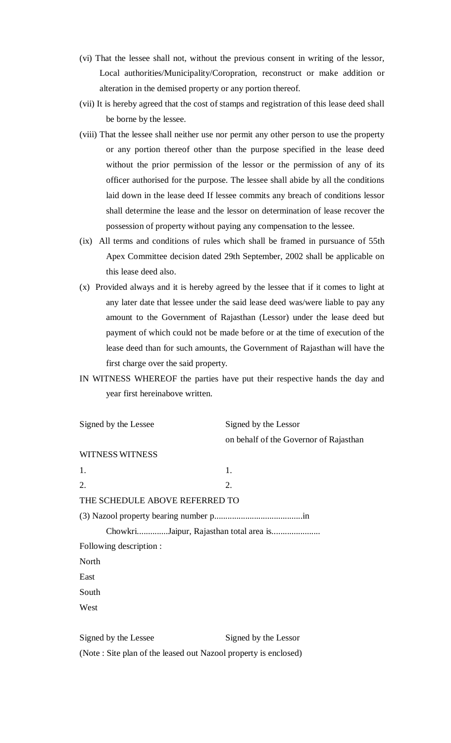- (vi) That the lessee shall not, without the previous consent in writing of the lessor, Local authorities/Municipality/Coropration, reconstruct or make addition or alteration in the demised property or any portion thereof.
- (vii) It is hereby agreed that the cost of stamps and registration of this lease deed shall be borne by the lessee.
- (viii) That the lessee shall neither use nor permit any other person to use the property or any portion thereof other than the purpose specified in the lease deed without the prior permission of the lessor or the permission of any of its officer authorised for the purpose. The lessee shall abide by all the conditions laid down in the lease deed If lessee commits any breach of conditions lessor shall determine the lease and the lessor on determination of lease recover the possession of property without paying any compensation to the lessee.
- (ix) All terms and conditions of rules which shall be framed in pursuance of 55th Apex Committee decision dated 29th September, 2002 shall be applicable on this lease deed also.
- (x) Provided always and it is hereby agreed by the lessee that if it comes to light at any later date that lessee under the said lease deed was/were liable to pay any amount to the Government of Rajasthan (Lessor) under the lease deed but payment of which could not be made before or at the time of execution of the lease deed than for such amounts, the Government of Rajasthan will have the first charge over the said property.
- IN WITNESS WHEREOF the parties have put their respective hands the day and year first hereinabove written.

| Signed by the Lessee                   | Signed by the Lessor                   |  |
|----------------------------------------|----------------------------------------|--|
|                                        | on behalf of the Governor of Rajasthan |  |
| <b>WITNESS WITNESS</b>                 |                                        |  |
| 1.                                     | 1.                                     |  |
| 2.                                     | 2.                                     |  |
| THE SCHEDULE ABOVE REFERRED TO         |                                        |  |
|                                        |                                        |  |
| ChowkriJaipur, Rajasthan total area is |                                        |  |
| Following description :                |                                        |  |
| North                                  |                                        |  |
| East                                   |                                        |  |
| South                                  |                                        |  |
| West                                   |                                        |  |
|                                        |                                        |  |
| Signed by the Lessee                   | Signed by the Lessor                   |  |
|                                        |                                        |  |

(Note : Site plan of the leased out Nazool property is enclosed)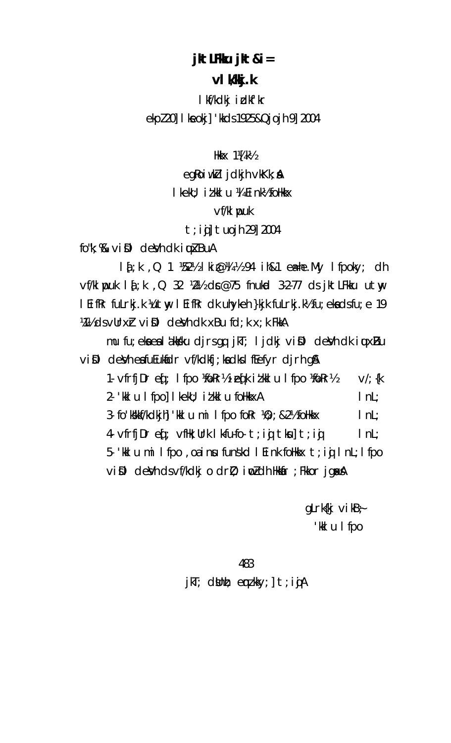# jktLFKu jkt&i=

# vI Wkj.k

I kf/kdkj i dkf'kr ekpl 20] I keokj] 'kkds 1925&Qjojh 9] 2004

Hkk $\times$  1¼ k $\frac{1}{2}$ 

eq $\ell$ oiw $\ell$ l jd $\ell$ jh v $\ell$ K $k$ ;  $\ell$ 

I kekU; i t kk I u ¼ Ei nk½ foHkkx

# $Vf/kl$  puk

# $t$ ; ii] tuojh 29] 2004

 $f_0$ "k;  $\%$  vi $\mathbb{D}$  deVh dk i  $\mu$ kBuA

 $14$ ; k, Q 1  $1\frac{1}{2}$  kie  $\frac{1}{2}$  kie  $\frac{1}{2}$  k, 94 ih & 1 e a = he. My If poky; clh  $\nu$ f/klwpuk l $\oint K$ , Q 32  $W$ 2½ dr $\infty$ 75 fnukod 3-2-77 ds jktLFkku utwy I EifRr fuLrkj.k Yutwy I EifRr dk uhykeh }kjk fuLrkj.k½ fu; eka dsfu; e 19 Minds vull right devid dk xBu fd; k x; k FkkA

mu fu; eka ea lakkaku djrsgq jkT; ljdkj viDl deVh dk iuuxBu vill devheafuEukidr vf/kdkfj;kadkslfEefyr djrh g&

1. vfrfjDr ef; I fpo ¼okr½ i efk i tkkl u I fpo ¼okr½  $V'/$  {k 2- 'kkl u I fpo] I kekU; i t kkl u foHkkxA  $InL;$ 3- fo'kkkf/kdkjh] 'kkl u mil fpo for  $\mathcal{W}$ ; & 2½ follkkx  $InL$ 4. vfrfj $Dr$  eq<sup>ti</sup> vfik; Urk I kfu fo t; iq tku] t; iq  $InL$ 5. Kulumi lfpo, oainu funskoll eink folkk $x$  t; in InL; lfpo vill devh dsvf/kdkj o drl); i w zdh Hkkir; Fkkor jgak A

> gLrk $\{kj \text{ vi } kB\}$ 'kkl u I fpo

### 483

jkT; dWnh; emzkky;] t;ijA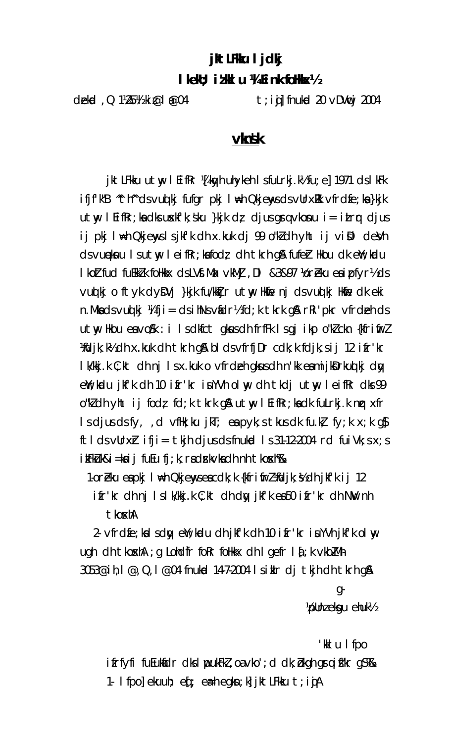# jkt LFKu I jdkj

# I kekU; it kkI u 14 E ink folkkox 1/2

dekid, Q 1\25\/{ki @ | @ 04

 $t$ ; i(j) fnukod 20  $\vee$ DV $\mathfrak{w}$ j 2004

# **v**msk

jktLFkku utwy I EifRr ¼[kwyh uhykeh I sfuLrkj.k½ fu; e] 1971 ds I kFk ifjf'k"B "th" dsvudkj fufgr pkj I \heta QkjenysdsvUrx&k vfrdfe; ka}kjk  $utw$  I Eifkr; ka dks uxkfk; sku }kjk dz djus grq vkonu i= itrr djus ij pkj l⊯h Qkjenyslsjkfk dh x.kuk dj 99 o"kdh yht ij viΩl deVh ds vueknu I sutwy I eifkr; kafodz dh tkrh g& fufer Hkou dk ew; kodu I koltfud fuekklk folkkx dsLVf.Mx vkMj, DI &3&97 Voreku esipfyrlds vuolki oftyk dy $\mathsf{DV}$ j }kjk fu/kkijr utny Hkne nj dsvuolki Hkne dk eki n. Mka dsvud kj ¼i fji = dsih $Ns$ vádr½i fd; k tkrk g $\alpha$  r $\alpha$ i 'pkr vfrdeh ds utwy Hkou eavo Sk : i Isdkfct gkusdh frffk Isgjikp o "klckn {kfrifirl Midjk; k½ dh x.kuk dh tkrh q& bl ds vfrfjDr cdk; k fdjk; s i j 12 i fr'kr I k/kkj.k C; kt dh nj I s x.kuk o vfrdeh gkusdh n'kk eamijkDrkuq kj dy el'; kodu jkf'k dh 10 ifr'kr iuYVh olny dh tkdj utny leifkr dks 99 o"Wdh yht ij fod; fd;k tkrk g& utwy I EifRr;kadk fuLrkj.k nr xfr Is djus ds fy, d vfilk; ku jkT; en pyk; s tkus dk fu.k, fy; k  $x$ ; k q $\beta$ ftlds vUrx $\mathbf r$  ifji= tkjh djus ds fnukod 1 s 31-12-2004 rd fui Vk; s x; s ikFkUk&i=kaij fuEu fj;k; radrkvkadh nh tkoskh‰

1-or Eku eapkj I wh Qkjenyseacdk; k {kfrifrz} Midjk; ½ dh jkf'k i j 12

ifr'kr dh nj Islk/kkj.k C;kt dh dy jkf'k ea50 ifr'kr dh NW nh tkoxhA

2. vfrdfe; kalsdy en, kudu dhjk fk dh 10 i fr'kr i u YVhjk fk ol w ugh dh tkoxhA ; q Lohdfr forr follkkx dh I gefr I  $\delta$ ; k vkbZMh 3053@ih, 1 @, Q, 1 @04 fnukod 14-7-2004 I siklr dj tkjh dh tkrh q&

> g-Vollni ekgu ehuk!

'kilu I fpo ifrfyfi fuEukidr dks I ppukFkZ, oa vko'; d dk; bkgh grq i fkr g\$%& 1. I fpo] ekuuh; e $[$ ; eath egkn; k] jktLFkku t; i jA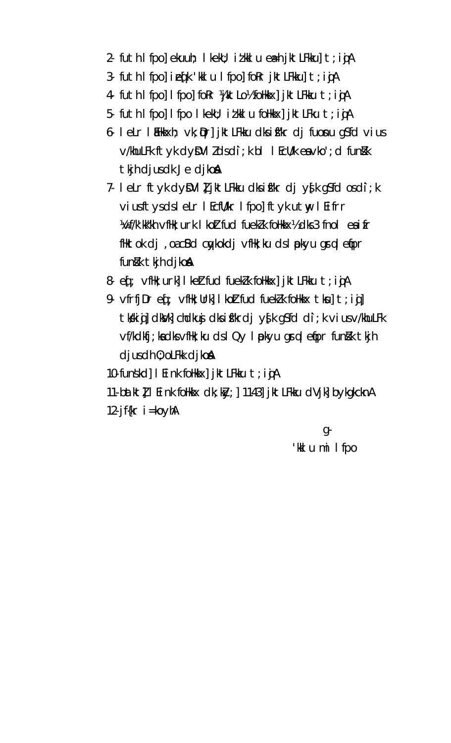- 2- futh I fpo] ekuuh; I kekU; i t kk I u e a i k t L F kk u] t ; i g A
- 3. futh I fpol i eqk 'kkl u I fpol for jktLFkkul t; i jA
- 4 futh I fpol I fpol for WiktLol's follkx jiktLFkku t; igA
- 5- futh I fpo] I fpo I kekU; i t kk I u foHkkx] j k t L F ku t ; i g A
- 6. leLr lillkkxh; vk; pr] jktLFkku dksifkr dj fuonu q\$fd vius v/khuLFk ftyk dyDVIIdsdi; k bl IEcU/k eavko'; d funkk tkjh djusdk Je djkon
- 7- leLr ftyk dyDVII jktLFkku dksifkr dj y{k g\$fd osdi;k viusftysdsleLr I EcfU/kr I fpo] ftyk utw I Eifrr Worf/k'kk"kh vfHk; urk I koltfud fueklk foHkkx½ dks 3 fnol eaifr fliktok dj, oacßd cykokdj vflik; ku ds I pkyu grq lefipr funkk tkjh djkon
- 8. eq.; vfilk; urk] I kett fud fuekk follkkx] jkt LFkku t; i g A
- 9. vfrfj $Dr$  e $[$ ; vfHk; Urk] I ko $lt$  fud fuek $lk$  foHkk $x$   $tk$ u]  $t$ ; i $jl$ ] tkkii j] dkVk] chdkuj dksifkrdj y{k g\$fd di;k vius v/khuLFk vf/kdkfj; kadksvflk; ku dsl Qy I pkyu grql efpr funkk tkjh  $d$ jus dh $0$ ; ol $F$ k djko $\AA$
- 10-funskd] I Eink folkkx] jktLFkku t; i jA
- 11 batkt] I Eink follkkx dk; ky; ] 1143] jktLFkku dVjk] bykgkcknA 12-jf $\{kr \mid i = koyhA\}$

g-'kklumilfpo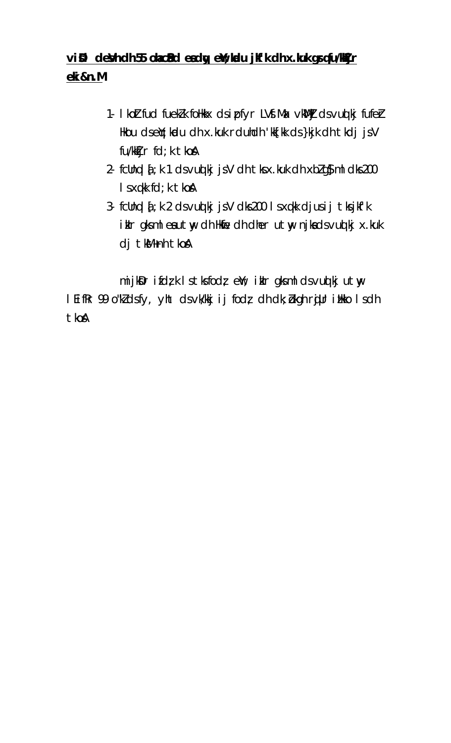# vißl deVh dh 55 ohecBd eady ew; kolu jk'k dh x.kuk grqfu/kkjr eki&n.M

- 1. I koltfud fueklk follkkx dsipfyr LVf. Max vkWlj dsvud kj fufel-Hkou dseY; kadu dh x.kuk rduhdh 'kk[kk ds }kjk dh tkdj jsV fu/kktjr fd; k tkoA
- 2- fcllnql  $\bar{q}$ ; k 1 ds vuq kj js V dh tks x.kuk dh xblg § ml dks 200 I sxqkk fd; k tkoA
- 3- fcUnql  $i$ ; k 2 ds vuq kj js V dks 200 ls xqkk djusij tks jkf'k ikir gksml eautwy dh Hkfie dh dher utwy njkadsvud kj x.kuk dj tkM+nh tkoA

mijkDr ifdzk Istksfodz eW; ikIr gksml dsvuolkjutwy I EifRr 99 o"kldsfy, yht dsvk/kkj ij fod; dh dk; bkgh rjllr illkko I sdh tkoA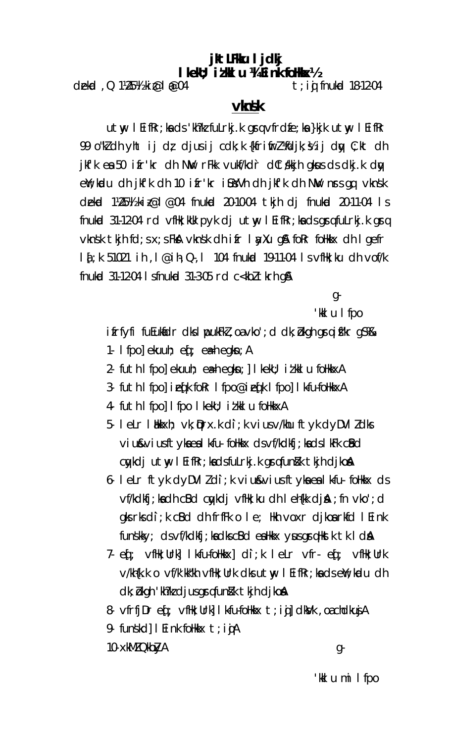# jkt LFKu I jdkj IkekU; iłkkIu ¼I ink foHkkx½

dekid, Q 1½5½ ki@l@04

 $t$ ; ij fnukod 18-12-04

# **v**lnsk

utw I EifRr; ka ds 'kh?k fuLrkj.k grg vfrdfe; ka }kjk utw I EifRr 99 o"kldh yht ij d; djusij cdk;k {kfrifirl¼djk;½ij dy; :;kt dh jkfk ea 50 ifr'kr dh NW rFkk vukf/kdr dCtskkjh gkus ds dkj.k dy ell; kudu dhi jkfk dh 10 ifr'kr i SustVh dhjkf'k dh Niv nrs qq vknsk dekrd 1/25/4 kiz@1 @04 fnukrd 20-10-04 tkjh dj fnukrd 20-11-04 ls fnukod 31-12-04 rd vflk; kuk pyk dj utw l EifRr; ka ds grafulrkj.k gra  $v$ knsk tkjh fd; s x; s FkA vknsk dhifr I ay Xu q A for follk x dh I gefr 1 { ; k 51021 i h, l @ i h, Q , l 104 fnukud 19–11–04 l s vfHk; ku d h vof/k fnukod 31-12-04 | sfnukod 31-3-05 rd c<kbl tkrh q&

g-

'kklu I fpo

ifrfyfi fuEuklidr dks I pukFkI, oa vko'; d dk; bkgh graifkr gS&

- 1. I fpol ekuuh;  $\operatorname{ef}$ ;  $\operatorname{e\mathsf{a}}$ h egkn; A
- 2- futh I fpo] ekuuh; eah eqkn; | I kekU; i t kk I u follkkxA
- 3. futh I fpo] i eqk for I fpo@i eqk I fpo] I kfu-follkkxA
- 4 futh I fpo] I fpo I kekU; i t kk I u follkkxA
- 5. lelr l blkkxh; vk;  $\mathfrak{p}$ rx.k di; k vius v/khu ftyk dyDVI ldks viu&viusftykaealkfu-folkkx dsvf/kdkfj;kadslkFk cBd cykdi utw I EifRr; kadsfulrkj.k grafunkk tkjh dikon
- 6- leLr ftyk dyDVIIdi; k viu&viusftyka ea lkfu- foHkkx ds vf/kdkfj; kadh cBd cykdj vfHk; ku dh I eh{kk djA; fn vko'; d  $g$ ks rks di; k c $B$ d dh frf $F$ k o le; Hkh vo $x$ r djkoarkfd l $E$ ink funskky; ds vf/kdkfj; ka dks cBd ea Hkkx yus grq Hkst k tk I d &
- 7. eq: vfHk; Urk] I k-fu-foHkkx] di; k I eLr vfr- eq: vfHk; Urk v/kh{k.k o vf/k'kk"kh vfHk; Urk dks utwy l EifRr; kadsenY; kadu dh dk; bkgh 'kh?k djus grgfun}k tkjh djko&
- 8. vfrfj $Dr$  e $f$ ; vflik; Urk] I k-fu-folikk $x$  t; i  $g$ ] clkVk, oa chclku $jA$
- 9- funskd] I Eink follkk $x$  t; i  $j$ A
- 10- xkMZ QkbZyA

g-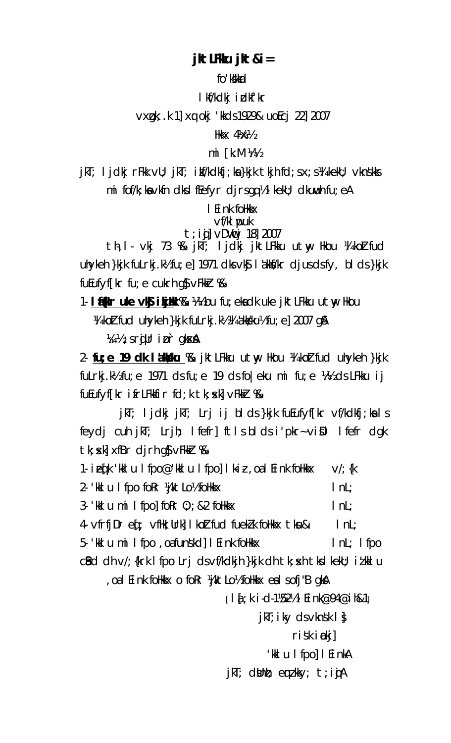# jkt LFKu jkt & i =

fo'kkkad

I kf/kdkj idkf'kr

vxgk; k 1] xq okj 'kkds 1929& uoEcj 22] 2007

Hkk $\times$  4 $\%$ 

### $mi$   $[k.M \ \frac{1}{4}\frac{1}{2}]$

jkT; ljdkj rFkk vU; jkT; ikf/kdkfj;ka}kjk tkjh fd;sx;s¼ kekU; vknskks mi fof/k; ka vkfn dks I f $E$ efyr djrsgq½ I kekU; dkuwuh fu; eA

I Eink follkkx

 $Vf/kl$  puk  $t$ ; i $\boldsymbol{\mathsf{i}}$ ]  $\vee$ DV $\boldsymbol{\mathsf{w}}$ j 18] 2007

th, I - vkj 73 % kT; ljdkj jktLFkku utw, Hkou ¼ koltfud uhyken }kjk fuLrkj. K½ fu; e] 1971 dks  $\vee$ k $\frac{1}{2}$  I akks/kr djus ds fy, blds }kjk  $f$ u $f$ uf $f$  $f$ kr fu; e cukrh q $\delta$   $\sqrt{f}$ kkr  $\%$ 

1. If all r uke vk ikjuk % 4½ bu fu; ekadk uke jktLFkku utny Hkou 14 kolt fud uhykeh }kjk fuLrkj.k½ 14 akkku½ fu; e] 2007 q&

Vii 1/2 ; s rigur i pr gksx &

2 fu; e 19 dk láksku % jktlFkku utw Hkou ¼ koltfud uhykeh }kjk fulrkj. $M/2$  fu; e 1971 ds fu; e 19 ds fo eku mi fu; e  $M/2$  ds LFKku ij fuEufyffkr ifrLFkkfir fd;k tk; skl vFkkr %&

jkT; ljdkj jkT; Lrj ij blds}kjk fuEufyf[kr vf/kdkfj;kals feydj cuh jkT; Lrjh; Ifefr] ftIsbldsi'pkr~viDl Ifefr dgk  $tk$ ;  $x$ k]  $x$ f $Br$  djrh q $\sqrt{s}$  v $F$ kk $r$  %  $\sqrt{s}$ 

1. iefk 'kklu I fpo@'kklu I fpo] I kiz, oal Eink follkkx  $V'/$ ; {k 2. 'kil u I fpo for "AktLo" follkix  $InL$ 3. Kel u mill fpol for  $0$ ;  $\frac{1}{2}$  & 2 follets  $InL$ 4 vfrfjDr eq: vfHk; Urk] I koltfud fueklk foHkkx tku&I  $|$  nL; 5- 'kkl u mil fpo, oafunskd | I Eink follkkx  $InL$ ; I fpo  $c$ Bd dh  $v$ /; {krk | fpo  $L$ rj ds $v$ f/kdkjh }kjk dh tk;  $x$ h tks | kekU; i $t$ kk| u

oal Eink follkkx o foRr ¼jktLo½ follkkx eal sofj"B gkA

 $[14:k i-d-1/52]/15$  | Eink@94@ih&1

 $j$ kT; iky ds vknsk  $1$  }

 $ri$ sk i $\omega$ kj]

'kklu Ifpo]IEinkA

jkT; dUnh; emzkky; t;ijA